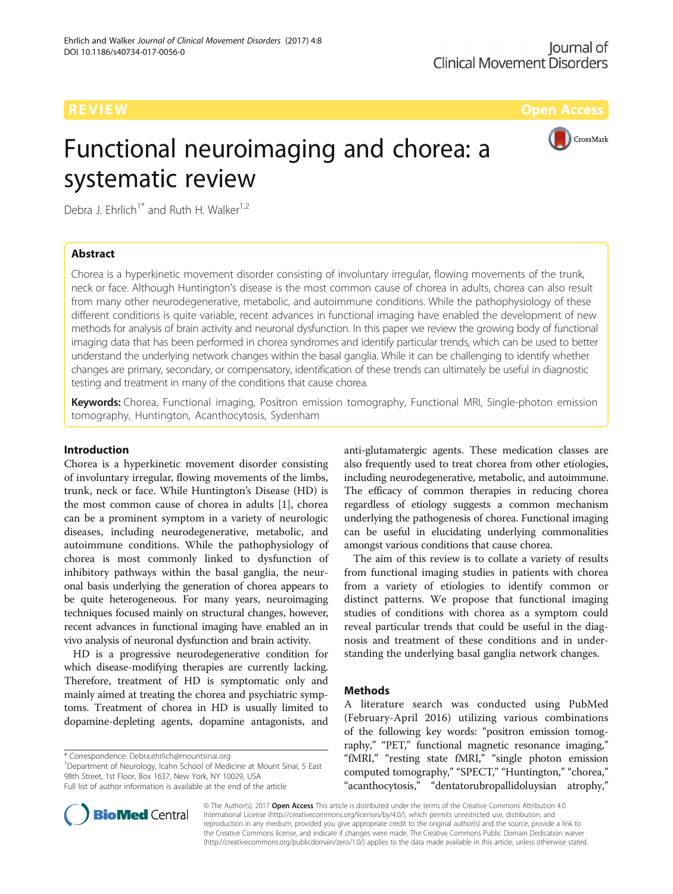

# Functional neuroimaging and chorea: a systematic review

Debra J. Ehrlich<sup>1\*</sup> and Ruth H. Walker<sup>1,2</sup>

## Abstract

Chorea is a hyperkinetic movement disorder consisting of involuntary irregular, flowing movements of the trunk, neck or face. Although Huntington's disease is the most common cause of chorea in adults, chorea can also result from many other neurodegenerative, metabolic, and autoimmune conditions. While the pathophysiology of these different conditions is quite variable, recent advances in functional imaging have enabled the development of new methods for analysis of brain activity and neuronal dysfunction. In this paper we review the growing body of functional imaging data that has been performed in chorea syndromes and identify particular trends, which can be used to better understand the underlying network changes within the basal ganglia. While it can be challenging to identify whether changes are primary, secondary, or compensatory, identification of these trends can ultimately be useful in diagnostic testing and treatment in many of the conditions that cause chorea.

Keywords: Chorea, Functional imaging, Positron emission tomography, Functional MRI, Single-photon emission tomography, Huntington, Acanthocytosis, Sydenham

### Introduction

Chorea is a hyperkinetic movement disorder consisting of involuntary irregular, flowing movements of the limbs, trunk, neck or face. While Huntington's Disease (HD) is the most common cause of chorea in adults [\[1](#page-12-0)], chorea can be a prominent symptom in a variety of neurologic diseases, including neurodegenerative, metabolic, and autoimmune conditions. While the pathophysiology of chorea is most commonly linked to dysfunction of inhibitory pathways within the basal ganglia, the neuronal basis underlying the generation of chorea appears to be quite heterogeneous. For many years, neuroimaging techniques focused mainly on structural changes, however, recent advances in functional imaging have enabled an in vivo analysis of neuronal dysfunction and brain activity.

HD is a progressive neurodegenerative condition for which disease-modifying therapies are currently lacking. Therefore, treatment of HD is symptomatic only and mainly aimed at treating the chorea and psychiatric symptoms. Treatment of chorea in HD is usually limited to dopamine-depleting agents, dopamine antagonists, and

\* Correspondence: [Debra.ehrlich@mountsinai.org](mailto:Debra.ehrlich@mountsinai.org) <sup>1</sup>

<sup>1</sup>Department of Neurology, Icahn School of Medicine at Mount Sinai, 5 East 98th Street, 1st Floor, Box 1637, New York, NY 10029, USA Full list of author information is available at the end of the article

anti-glutamatergic agents. These medication classes are also frequently used to treat chorea from other etiologies, including neurodegenerative, metabolic, and autoimmune. The efficacy of common therapies in reducing chorea regardless of etiology suggests a common mechanism underlying the pathogenesis of chorea. Functional imaging can be useful in elucidating underlying commonalities amongst various conditions that cause chorea.

The aim of this review is to collate a variety of results from functional imaging studies in patients with chorea from a variety of etiologies to identify common or distinct patterns. We propose that functional imaging studies of conditions with chorea as a symptom could reveal particular trends that could be useful in the diagnosis and treatment of these conditions and in understanding the underlying basal ganglia network changes.

### **Methods**

A literature search was conducted using PubMed (February-April 2016) utilizing various combinations of the following key words: "positron emission tomography," "PET," functional magnetic resonance imaging," "fMRI," "resting state fMRI," "single photon emission computed tomography," "SPECT," "Huntington," "chorea," "acanthocytosis," "dentatorubropallidoluysian atrophy,"



© The Author(s). 2017 Open Access This article is distributed under the terms of the Creative Commons Attribution 4.0 International License [\(http://creativecommons.org/licenses/by/4.0/](http://creativecommons.org/licenses/by/4.0/)), which permits unrestricted use, distribution, and reproduction in any medium, provided you give appropriate credit to the original author(s) and the source, provide a link to the Creative Commons license, and indicate if changes were made. The Creative Commons Public Domain Dedication waiver [\(http://creativecommons.org/publicdomain/zero/1.0/](http://creativecommons.org/publicdomain/zero/1.0/)) applies to the data made available in this article, unless otherwise stated.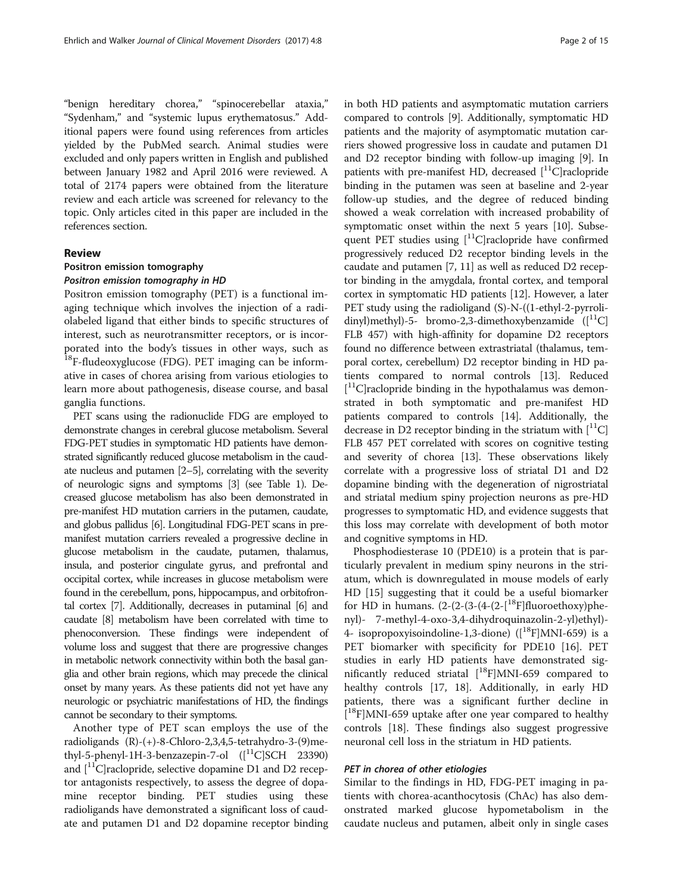"benign hereditary chorea," "spinocerebellar ataxia," "Sydenham," and "systemic lupus erythematosus." Additional papers were found using references from articles yielded by the PubMed search. Animal studies were excluded and only papers written in English and published between January 1982 and April 2016 were reviewed. A total of 2174 papers were obtained from the literature review and each article was screened for relevancy to the topic. Only articles cited in this paper are included in the references section.

#### Review

# Positron emission tomography

Positron emission tomography (PET) is a functional imaging technique which involves the injection of a radiolabeled ligand that either binds to specific structures of interest, such as neurotransmitter receptors, or is incorporated into the body's tissues in other ways, such as <sup>18</sup>F-fludeoxyglucose (FDG). PET imaging can be informative in cases of chorea arising from various etiologies to learn more about pathogenesis, disease course, and basal ganglia functions.

PET scans using the radionuclide FDG are employed to demonstrate changes in cerebral glucose metabolism. Several FDG-PET studies in symptomatic HD patients have demonstrated significantly reduced glucose metabolism in the caudate nucleus and putamen [\[2](#page-12-0)–[5](#page-12-0)], correlating with the severity of neurologic signs and symptoms [[3](#page-12-0)] (see Table [1](#page-2-0)). Decreased glucose metabolism has also been demonstrated in pre-manifest HD mutation carriers in the putamen, caudate, and globus pallidus [[6](#page-12-0)]. Longitudinal FDG-PET scans in premanifest mutation carriers revealed a progressive decline in glucose metabolism in the caudate, putamen, thalamus, insula, and posterior cingulate gyrus, and prefrontal and occipital cortex, while increases in glucose metabolism were found in the cerebellum, pons, hippocampus, and orbitofrontal cortex [\[7\]](#page-12-0). Additionally, decreases in putaminal [\[6](#page-12-0)] and caudate [\[8\]](#page-12-0) metabolism have been correlated with time to phenoconversion. These findings were independent of volume loss and suggest that there are progressive changes in metabolic network connectivity within both the basal ganglia and other brain regions, which may precede the clinical onset by many years. As these patients did not yet have any neurologic or psychiatric manifestations of HD, the findings cannot be secondary to their symptoms.

Another type of PET scan employs the use of the radioligands (R)-(+)-8-Chloro-2,3,4,5-tetrahydro-3-(9)methyl-5-phenyl-1H-3-benzazepin-7-ol  $([$ <sup>11</sup>C]SCH 23390) and  $[{}^{11}C]$ raclopride, selective dopamine D1 and D2 receptor antagonists respectively, to assess the degree of dopamine receptor binding. PET studies using these radioligands have demonstrated a significant loss of caudate and putamen D1 and D2 dopamine receptor binding in both HD patients and asymptomatic mutation carriers compared to controls [[9\]](#page-12-0). Additionally, symptomatic HD patients and the majority of asymptomatic mutation carriers showed progressive loss in caudate and putamen D1 and D2 receptor binding with follow-up imaging [[9\]](#page-12-0). In patients with pre-manifest HD, decreased  $[$ <sup>11</sup>C $]$ raclopride binding in the putamen was seen at baseline and 2-year follow-up studies, and the degree of reduced binding showed a weak correlation with increased probability of symptomatic onset within the next 5 years [[10](#page-12-0)]. Subsequent PET studies using  $[{}^{11}C]$ raclopride have confirmed progressively reduced D2 receptor binding levels in the caudate and putamen [\[7](#page-12-0), [11\]](#page-12-0) as well as reduced D2 receptor binding in the amygdala, frontal cortex, and temporal cortex in symptomatic HD patients [[12](#page-12-0)]. However, a later PET study using the radioligand (S)-N-((1-ethyl-2-pyrrolidinyl)methyl)-5- bromo-2,3-dimethoxybenzamide  $($ [ $^{11}C$ ] FLB 457) with high-affinity for dopamine D2 receptors found no difference between extrastriatal (thalamus, temporal cortex, cerebellum) D2 receptor binding in HD patients compared to normal controls [\[13\]](#page-12-0). Reduced [<sup>11</sup>C]raclopride binding in the hypothalamus was demonstrated in both symptomatic and pre-manifest HD patients compared to controls [[14](#page-12-0)]. Additionally, the decrease in D2 receptor binding in the striatum with  $\binom{11}{C}$ FLB 457 PET correlated with scores on cognitive testing and severity of chorea [\[13\]](#page-12-0). These observations likely correlate with a progressive loss of striatal D1 and D2 dopamine binding with the degeneration of nigrostriatal and striatal medium spiny projection neurons as pre-HD progresses to symptomatic HD, and evidence suggests that this loss may correlate with development of both motor and cognitive symptoms in HD.

Phosphodiesterase 10 (PDE10) is a protein that is particularly prevalent in medium spiny neurons in the striatum, which is downregulated in mouse models of early HD [[15](#page-12-0)] suggesting that it could be a useful biomarker for HD in humans.  $(2-(2-(3-(4-(2-18F))\text{fluoroethoxy)})$ phenyl)- 7-methyl-4-oxo-3,4-dihydroquinazolin-2-yl)ethyl)- 4- isopropoxyisoindoline-1,3-dione)  $(I^{18}F]$ MNI-659) is a PET biomarker with specificity for PDE10 [\[16\]](#page-12-0). PET studies in early HD patients have demonstrated significantly reduced striatal  $[$ <sup>18</sup>F]MNI-659 compared to healthy controls [[17,](#page-12-0) [18](#page-13-0)]. Additionally, in early HD patients, there was a significant further decline in [<sup>18</sup>F]MNI-659 uptake after one year compared to healthy controls [[18\]](#page-13-0). These findings also suggest progressive neuronal cell loss in the striatum in HD patients.

Similar to the findings in HD, FDG-PET imaging in patients with chorea-acanthocytosis (ChAc) has also demonstrated marked glucose hypometabolism in the caudate nucleus and putamen, albeit only in single cases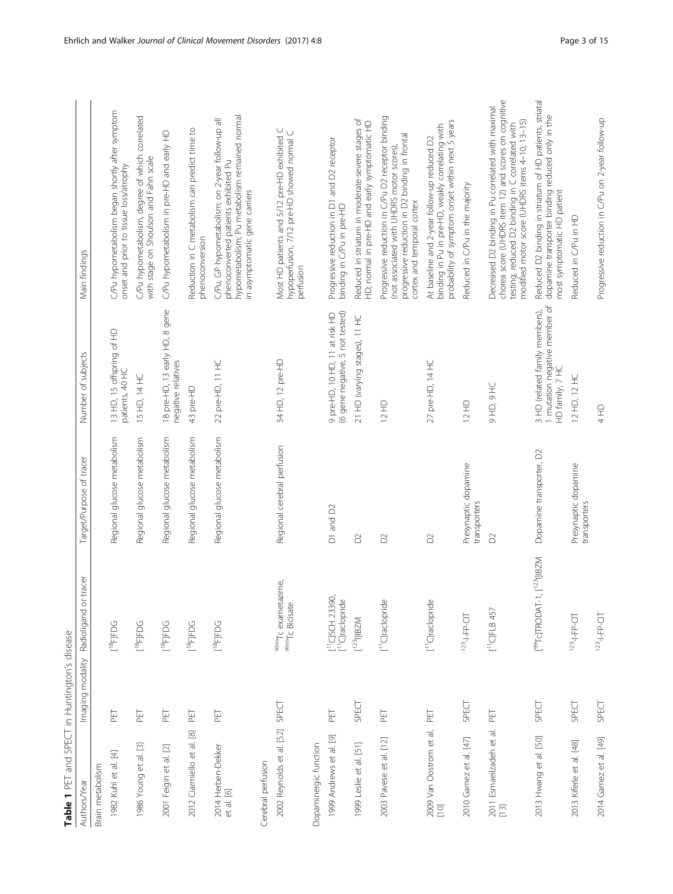<span id="page-2-0"></span>

| Table 1 PET and SPECT in Huntington's disease |                              |                                                              |                                      |                                                                                    |                                                                                                                                                                                                                  |
|-----------------------------------------------|------------------------------|--------------------------------------------------------------|--------------------------------------|------------------------------------------------------------------------------------|------------------------------------------------------------------------------------------------------------------------------------------------------------------------------------------------------------------|
| Authors/Year                                  | Imaging modality Radioligand | or tracer                                                    | Target/Purpose of tracer             | Number of subjects                                                                 | Main findings                                                                                                                                                                                                    |
| Brain metabolism                              |                              |                                                              |                                      |                                                                                    |                                                                                                                                                                                                                  |
| 1982 Kuhl et al. [4]                          | PET                          | $[18$ FJFDG                                                  | Regional glucose metabolism          | 13 HD, 15 offspring of HD<br>patients, 40 HC                                       | C/Pu hypometabolism began shortly after symptom<br>onset and prior to tissue loss/atrophy                                                                                                                        |
| 1986 Young et al. [3]                         | PET                          | $L^{18}$ FJFDG                                               | Regional glucose metabolism          | 15 HD, 14 HC                                                                       | C/Pu hypometabolism, degree of which correlated<br>with stage on Shoulson and Fahn scale                                                                                                                         |
| 2001 Feigin et al. [2]                        | PET                          | $L^{18}$ FJFDG                                               | Regional glucose metabolism          | 18 pre-HD, 13 early HD, 8 gene<br>negative relatives                               | C/Pu hypometabolism in pre-HD and early HD                                                                                                                                                                       |
| 2012 Ciarmiello et al. [8]                    | PET                          | $[18$ FJFDG                                                  | Regional glucose metabolism          | 43 pre-HD                                                                          | Reduction in C metabolism can predict time to<br>phenoconversion                                                                                                                                                 |
| 2014 Herben-Dekker<br>et al. [6]              | PET                          | $[18$ FJFDG                                                  | Regional glucose metabolism          | 22 pre-HD, 11 HC                                                                   | hypometabolism; Pu metabolism remained normal<br>C/Pu, GP hypometabolism; on 2-year follow-up all<br>phenoconverted patients exhibited Pu<br>in asymptomatic gene carriers                                       |
| Cerebral perfusion                            |                              |                                                              |                                      |                                                                                    |                                                                                                                                                                                                                  |
| 2002 Reynolds et al. [52] SPECT               |                              | <sup>99m</sup> Tc exametazime,<br><sup>99m</sup> Tc Bicisate | Regional cerebral perfusion          | 34 HD, 12 pre-HD                                                                   | Most HD patients and 5/12 pre-HD exhibited C<br>hypoperfusion, 7/12 pre-HD showed normal C<br>perfusion                                                                                                          |
| Dopaminergic function                         |                              |                                                              |                                      |                                                                                    |                                                                                                                                                                                                                  |
| 1999 Andrews et al. [9]                       | PET                          | [ <sup>11</sup> C]SCH 23390,<br>[ <sup>11</sup> C]raclopride | D1 and D2                            | (6 gene negative, 5 not tested)<br>9 pre-HD, 10 HD, 11 at risk HD                  | Progressive reduction in D1 and D2 receptor<br>binding in C/Pu in pre-HD                                                                                                                                         |
| 1999 Leslie et al. [51]                       | SPECT                        | $[1^{23}$ ijiBZM                                             | $\Xi$                                | 21 HD (varying stages), 11 HC                                                      | Reduced in striatum in moderate-severe stages of<br>HD; normal in pre-HD and early symptomatic HD                                                                                                                |
| 2003 Pavese et al. [12]                       | PET                          | [ <sup>11</sup> C]raclopride                                 | $\Xi$                                | 12 HD                                                                              | Progressive reduction in C/Pu D2 receptor binding<br>progressive reduction in D2 binding in frontal<br>(not associated with UHDRS motor scores)<br>cortex and temporal cortex                                    |
| 2009 Van Oostrom et al.<br>$[10]$             | PET                          | [ <sup>11</sup> C]raclopride                                 | $\Xi$                                | 27 pre-HD, 14 HC                                                                   | probability of symptom onset within next 5 years<br>binding in Pu in pre-HD, weakly correlating with<br>At baseline and 2-year follow-up reduced D2                                                              |
| 2010 Gamez et al. [47]                        | SPECT                        | $123 - 1 - FP - C$                                           | Presynaptic dopamine<br>transporters | 12 HD                                                                              | Reduced in C/Pu in the majority                                                                                                                                                                                  |
| 2011 Esmaeilzadeh et al.<br>$[13]$            | PET                          | $L^{11}$ CJFLB 457                                           | $\geq$                               | 9 HD, 9 HC                                                                         | Decreased D2 binding in Pu correlated with maximal<br>chorea score (UHDRS item 12) and scores on cognitive<br>modified motor score (UHDRS items 4-10, 13-15)<br>testing; reduced D2 binding in C correlated with |
| 2013 Hwang et al. [50]                        | SPECT                        | $[^{99}$ TcJTRODAT-1, $[^{123}$ IJIBZM                       | Dopamine transporter, D2             | 1 mutation negative member of<br>3 HD (related family members),<br>HD family, 7 HC | Reduced D2 binding in striatum of HD patients, striatal<br>dopamine transporter binding reduced only in the<br>most symptomatic HD patient                                                                       |
| 2013 Kiferle et al. [48]                      | SPECT                        | $123 - FP-CIT$                                               | Presynaptic dopamine<br>transporters | 12 HD, 12 HC                                                                       | Reduced in C/Pu in HD                                                                                                                                                                                            |
| 2014 Gamez et al. [49]                        | SPECT                        | $123 - F$ P-CIT                                              |                                      | 4 HD                                                                               | Progressive reduction in C/Pu on 2-year follow-up                                                                                                                                                                |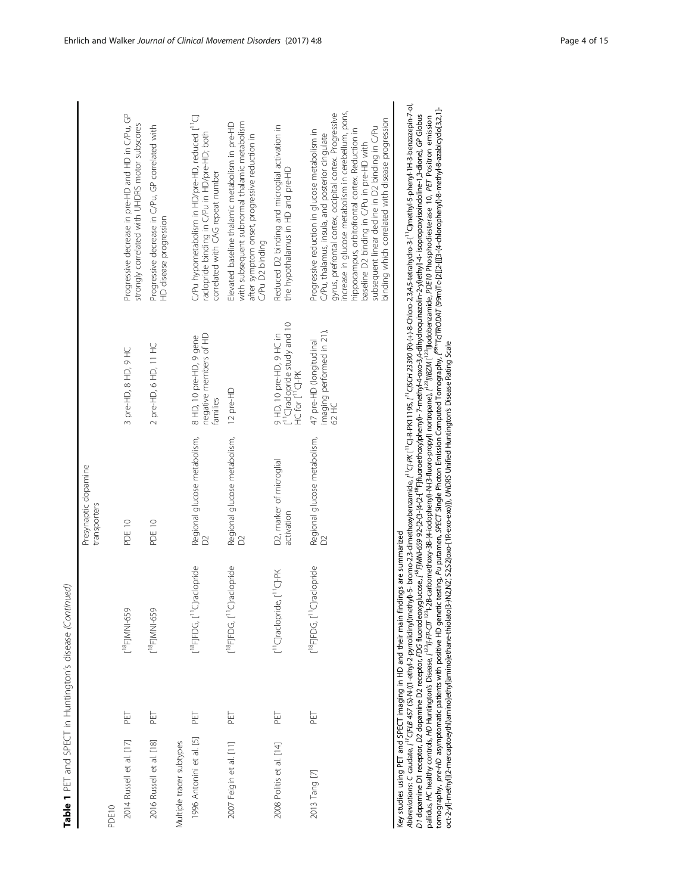|                          |     |                                                     | Presynaptic dopamine<br>transporters        |                                                                                                       |                                                                                                                                                                                                                                                                                                                                                                                                                              |
|--------------------------|-----|-----------------------------------------------------|---------------------------------------------|-------------------------------------------------------------------------------------------------------|------------------------------------------------------------------------------------------------------------------------------------------------------------------------------------------------------------------------------------------------------------------------------------------------------------------------------------------------------------------------------------------------------------------------------|
| PDE10                    |     |                                                     |                                             |                                                                                                       |                                                                                                                                                                                                                                                                                                                                                                                                                              |
| 2014 Russell et al. [17] | PET | $[18]$ NNI-659                                      | PDE 10                                      | 3 pre-HD, 8 HD, 9 HC                                                                                  | Progressive decrease in pre-HD and HD in C/Pu, GP<br>strongly correlated with UHDRS motor subscores                                                                                                                                                                                                                                                                                                                          |
| 2016 Russell et al. [18] | ET  | $[18]$ NNI-659                                      | PDE 10                                      | 2 pre-HD, 6 HD, 11 HC                                                                                 | Progressive decrease in C/Pu, GP correlated with<br>HD disease progression                                                                                                                                                                                                                                                                                                                                                   |
| Multiple tracer subtypes |     |                                                     |                                             |                                                                                                       |                                                                                                                                                                                                                                                                                                                                                                                                                              |
| 1996 Antonini et al. [5] | PET | [ <sup>18</sup> FJFDG, [ <sup>11</sup> C]raclopride | Regional glucose metabolism,<br>D2          | negative members of HD<br>8 HD, 10 pre-HD, 9 gene<br>families                                         | C/Pu hypometabolism in HD/pre-HD, reduced [ <sup>11</sup> C]<br>raclopride binding in C/Pu in HD/pre-HD; both<br>correlated with CAG repeat number                                                                                                                                                                                                                                                                           |
| 2007 Feigin et al. [11]  | 旦   | [ <sup>18</sup> FJFDG, [ <sup>11</sup> C]raclopride | Regional glucose metabolism,<br>$\tilde{D}$ | 12 pre-HD                                                                                             | with subsequent subnormal thalamic metabolism<br>Elevated baseline thalamic metabolism in pre-HD<br>after symptom onset, progressive reduction in<br>C/Pu D2 binding                                                                                                                                                                                                                                                         |
| 2008 Politis et al. [14] | PET | <sup>11</sup> CJraclopride, [ <sup>11</sup> CJ-PK   | D2, marker of microglial<br>activation      | 9 HD, 10 pre-HD, 9 HC in<br>[ <sup>11</sup> C]raclopride study and 10<br>HC for [ <sup>11</sup> C]-PK | Reduced D2 binding and microglial activation in<br>the hypothalamus in HD and pre-HD                                                                                                                                                                                                                                                                                                                                         |
| 2013 Tang [7]            | PET | [ <sup>18</sup> FJFDG, [ <sup>11</sup> C]raclopride | Regional glucose metabolism,                | imaging performed in 21),<br>47 pre-HD (longitudinal<br>62 HC                                         | increase in glucose metabolism in cerebellum, pons,<br>gyrus, prefrontal cortex, occipital cortex. Progressive<br>binding which correlated with disease progression<br>subsequent linear decline in D2 binding in C/Pu<br>hippocampus, orbitofrontal cortex. Reduction in<br>Progressive reduction in glucose metabolism in<br>C/Pu, thalamus, insula, and posterior cingulate<br>baseline D2 binding in C/Pu in pre-HD with |

Table 1 PET and SPECT in Huntington's disease (Continued) **Table 1** PET and SPECT in Huntington's disease (Continued)

Abbreviations: C caudate, [' GFLB 457 (S)-N-((1-ethyl-2-pyrrolidiny)|methyl)-5- bromo-2,3-dimethoxperzamide, [' I G-PK [' I G-RFK 11195, [' I G/SH 2390 (B)-(+)-8-Chloro-2,34,5-tetrahydro-3-1 ' I Gmethyl-5-phenyl-11-1-3-ben palikus, HC healtly controls, HD Hurtington's Disease, *[<sup>25</sup>]L-FPCH" <sup>13</sup>-2B-cabomethow,* 3B-(4-iodophery)-N-13-fluor-propy) nortropane), *[<sup>23</sup>]llig2M* (<sup>123</sup>]lliodobrazmide, *PDET 80 the w*as hose it o, *PET Positron* D1 dopamine D1 receptor, D2 dopamine D2 receptor, FDG fluorodeoxyglucose, [<sup>18</sup>F/MW-659 92-(2-(4-(2-(<sup>18</sup>F/fluoroethoxy)pheryl)- 7-methyl4-oxo-3.4-dihydroquinazolin-2-yl)ethyl-4-isopropoxyisoindoline-1,3-dione), GP Globus D1 dopamine D1 receptor, D2 dopamine D2 receptor, FDG fluorodeoxyglucose, [18F]MNI-659 92-(2-(3-(4-(2-[18F]fluoroethoxy)phenyl)- 7-methyl-4-oxo-3,4-dihydroquinazolin-2-yl)ethyl)-4- isopropoxyisoindoline-1,3-dione), GP Globus Key studies using PET and SPECT imaging in HD and their main findings are summarized Key studies using PET and SPECT imaging in HD and their main findings are summarized

pallidus, HC healthy controls, HD Huntington's Disease, [<sup>123</sup>I/FP-CIT <sup>123</sup>I-2B-carbomethoxy-3B-(4-iodophenyl)-N-(3-fluoro-propyl) nortropane), [<sup>12</sup>1]IBZM [<sup>123</sup>I]lodobenzamide, PDE10 Phosphodiesterase 10, PET Positron e tomography, *pre-HD* asymptomatic patients with positive HD genetic testing, Pu putamen, SPECT Single Photon Emission Computed Tomography, [<sup>99m</sup>Tc]TRODAT (99m)Tc-[2[[2-[[3-(4-chlorophenyl)-8-methyl-8-azabicyclo[3,2,1]-

oct-2-yl]-methyl](2-mercaptoeythl)amino]ethyl]amino]ethane-thiolato(3-)N2,N2', S2,S2]oxo-[1R-exo-exo)]), UHDRS Unified Huntington's Disease Rating Scale

Ehrlich and Walker Journal of Clinical Movement Disorders (2017) 4:8 Page 4 of 15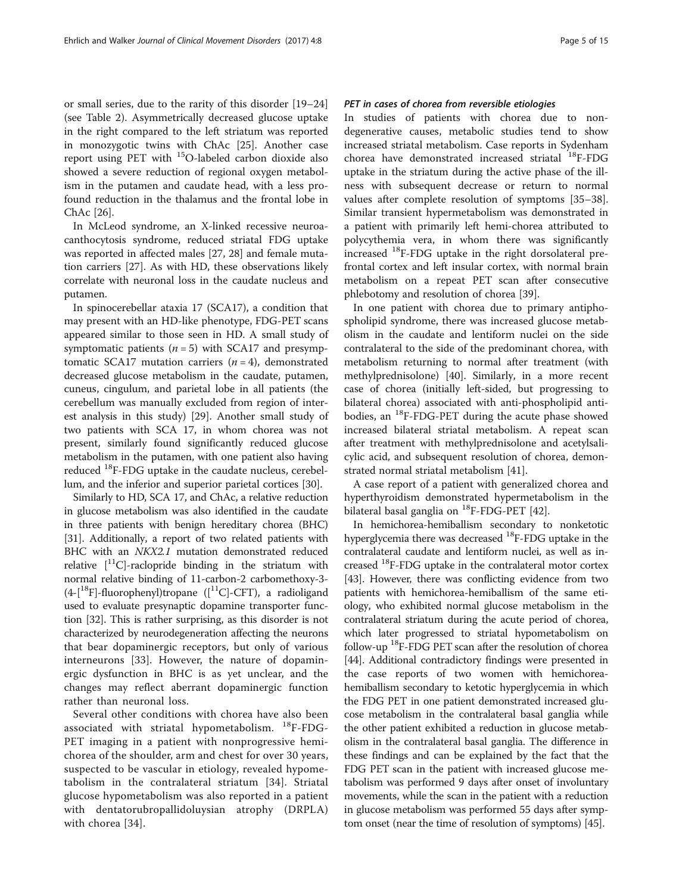or small series, due to the rarity of this disorder [[19](#page-13-0)–[24](#page-13-0)] (see Table [2](#page-5-0)). Asymmetrically decreased glucose uptake in the right compared to the left striatum was reported in monozygotic twins with ChAc [[25](#page-13-0)]. Another case report using PET with  $^{15}$ O-labeled carbon dioxide also showed a severe reduction of regional oxygen metabolism in the putamen and caudate head, with a less profound reduction in the thalamus and the frontal lobe in ChAc [[26\]](#page-13-0).

In McLeod syndrome, an X-linked recessive neuroacanthocytosis syndrome, reduced striatal FDG uptake was reported in affected males [\[27](#page-13-0), [28](#page-13-0)] and female mutation carriers [\[27\]](#page-13-0). As with HD, these observations likely correlate with neuronal loss in the caudate nucleus and putamen.

In spinocerebellar ataxia 17 (SCA17), a condition that may present with an HD-like phenotype, FDG-PET scans appeared similar to those seen in HD. A small study of symptomatic patients  $(n = 5)$  with SCA17 and presymptomatic SCA17 mutation carriers  $(n = 4)$ , demonstrated decreased glucose metabolism in the caudate, putamen, cuneus, cingulum, and parietal lobe in all patients (the cerebellum was manually excluded from region of interest analysis in this study) [\[29](#page-13-0)]. Another small study of two patients with SCA 17, in whom chorea was not present, similarly found significantly reduced glucose metabolism in the putamen, with one patient also having reduced 18F-FDG uptake in the caudate nucleus, cerebellum, and the inferior and superior parietal cortices [\[30](#page-13-0)].

Similarly to HD, SCA 17, and ChAc, a relative reduction in glucose metabolism was also identified in the caudate in three patients with benign hereditary chorea (BHC) [[31](#page-13-0)]. Additionally, a report of two related patients with BHC with an NKX2.1 mutation demonstrated reduced relative  $\lceil {}^{11}C \rceil$ -raclopride binding in the striatum with normal relative binding of 11-carbon-2 carbomethoxy-3-  $(4-[18F]-fluorophenyl)$ tropane  $([11C]-CFT)$ , a radioligand used to evaluate presynaptic dopamine transporter function [\[32\]](#page-13-0). This is rather surprising, as this disorder is not characterized by neurodegeneration affecting the neurons that bear dopaminergic receptors, but only of various interneurons [\[33](#page-13-0)]. However, the nature of dopaminergic dysfunction in BHC is as yet unclear, and the changes may reflect aberrant dopaminergic function rather than neuronal loss.

Several other conditions with chorea have also been associated with striatal hypometabolism.  $^{18}$ F-FDG-PET imaging in a patient with nonprogressive hemichorea of the shoulder, arm and chest for over 30 years, suspected to be vascular in etiology, revealed hypometabolism in the contralateral striatum [\[34](#page-13-0)]. Striatal glucose hypometabolism was also reported in a patient with dentatorubropallidoluysian atrophy (DRPLA) with chorea [[34](#page-13-0)].

In studies of patients with chorea due to nondegenerative causes, metabolic studies tend to show increased striatal metabolism. Case reports in Sydenham chorea have demonstrated increased striatal <sup>18</sup>F-FDG uptake in the striatum during the active phase of the illness with subsequent decrease or return to normal values after complete resolution of symptoms [[35](#page-13-0)–[38](#page-13-0)]. Similar transient hypermetabolism was demonstrated in a patient with primarily left hemi-chorea attributed to polycythemia vera, in whom there was significantly increased 18F-FDG uptake in the right dorsolateral prefrontal cortex and left insular cortex, with normal brain metabolism on a repeat PET scan after consecutive phlebotomy and resolution of chorea [[39](#page-13-0)].

In one patient with chorea due to primary antiphospholipid syndrome, there was increased glucose metabolism in the caudate and lentiform nuclei on the side contralateral to the side of the predominant chorea, with metabolism returning to normal after treatment (with methylprednisolone) [[40](#page-13-0)]. Similarly, in a more recent case of chorea (initially left-sided, but progressing to bilateral chorea) associated with anti-phospholipid antibodies, an 18F-FDG-PET during the acute phase showed increased bilateral striatal metabolism. A repeat scan after treatment with methylprednisolone and acetylsalicylic acid, and subsequent resolution of chorea, demonstrated normal striatal metabolism [[41\]](#page-13-0).

A case report of a patient with generalized chorea and hyperthyroidism demonstrated hypermetabolism in the bilateral basal ganglia on <sup>18</sup>F-FDG-PET [[42\]](#page-13-0).

In hemichorea-hemiballism secondary to nonketotic hyperglycemia there was decreased <sup>18</sup>F-FDG uptake in the contralateral caudate and lentiform nuclei, as well as increased <sup>18</sup>F-FDG uptake in the contralateral motor cortex [[43](#page-13-0)]. However, there was conflicting evidence from two patients with hemichorea-hemiballism of the same etiology, who exhibited normal glucose metabolism in the contralateral striatum during the acute period of chorea, which later progressed to striatal hypometabolism on follow-up <sup>18</sup>F-FDG PET scan after the resolution of chorea [[44](#page-13-0)]. Additional contradictory findings were presented in the case reports of two women with hemichoreahemiballism secondary to ketotic hyperglycemia in which the FDG PET in one patient demonstrated increased glucose metabolism in the contralateral basal ganglia while the other patient exhibited a reduction in glucose metabolism in the contralateral basal ganglia. The difference in these findings and can be explained by the fact that the FDG PET scan in the patient with increased glucose metabolism was performed 9 days after onset of involuntary movements, while the scan in the patient with a reduction in glucose metabolism was performed 55 days after symptom onset (near the time of resolution of symptoms) [\[45](#page-13-0)].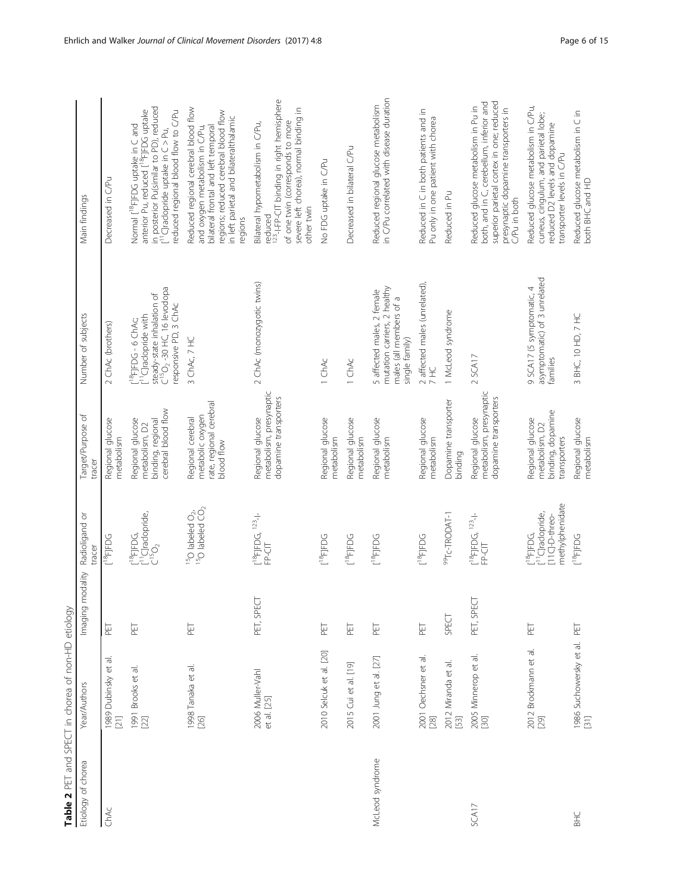<span id="page-5-0"></span>

| Etiology of chorea | Year/Authors                        | Imaging modality | Radioligand or<br>tracer                                                                   | Target/Purpose of<br>tracer                                                    | Number of subjects                                                                                                                                             | Main findings                                                                                                                                                                                                                         |
|--------------------|-------------------------------------|------------------|--------------------------------------------------------------------------------------------|--------------------------------------------------------------------------------|----------------------------------------------------------------------------------------------------------------------------------------------------------------|---------------------------------------------------------------------------------------------------------------------------------------------------------------------------------------------------------------------------------------|
| ChAc               | 1989 Dubinsky et al<br>[21]         | PET              | $[18$ FJFDG                                                                                | Regional glucose<br>metabolism                                                 | 2 ChAc (brothers)                                                                                                                                              | Decreased in C/Pu                                                                                                                                                                                                                     |
|                    | 1991 Brooks et al.<br>$[22]$        | PET              | [ <sup>11</sup> C]raclopride,<br>[ <sup>18</sup> FJFDG,<br>$C^{15}O_2$                     | cerebral blood flow<br>binding, regional<br>Regional glucose<br>metabolism, D2 | $C^{15}O_2$ -30 HC, 16 levodopa<br>steady-state inhalation of<br>responsive PD, 3 ChAc<br>[ <sup>11</sup> C]raclopride with<br>[ <sup>18</sup> FJFDG - 6 ChAc; | in posterior Pu(similar to PD), reduced<br>anterior Pu, reduced [ <sup>18</sup> F]FDG uptake<br>reduced regional blood flow to C/Pu<br>Normal [ <sup>18</sup> F]FDG uptake in C and<br>[ <sup>11</sup> C]raclopride uptake in C > Pu, |
|                    | 1998 Tanaka et al<br>[26]           | PET              | $^{15}$ O labeled O <sub>2</sub> ,<br>$^{15}$ O labeled CO <sub>2</sub>                    | rate, regional cerebral<br>metabolic oxygen<br>Regional cerebral<br>blood flow | 3 ChAc, 7 HC                                                                                                                                                   | Reduced regional cerebral blood flow<br>regions; reduced cerebral blood flow<br>in left parietal and bilateralthalamic<br>bilateral frontal and left temporal<br>and oxygen metabolism in C/Pu,<br>regions                            |
|                    | 2006 Muller-Vahl<br>et al. [25]     | PET, SPEC        | $[{}^{18}F]$ FDG, ${}^{123}$ - $\vdash$<br>FP-CIT                                          | metabolism, presynaptic<br>dopamine transporters<br>Regional glucose           | 2 ChAc (monozygotic twins)                                                                                                                                     | 123-I-FP-CIT binding in right hemisphere<br>severe left chorea), normal binding in<br>of one twin (corresponds to more<br>Bilateral hypometabolism in C/Pu,<br>other twin<br>reduced                                                  |
|                    | 2010 Selcuk et al. [20]             | PET              | L <sup>18</sup> FJFDG                                                                      | Regional glucose<br>metabolism                                                 | 1 ChAc                                                                                                                                                         | No FDG uptake in C/Pu                                                                                                                                                                                                                 |
|                    | 2015 Cui et al. [19]                | PET              | [18F]FDG                                                                                   | Regional glucose<br>metabolism                                                 | 1 ChAc                                                                                                                                                         | Decreased in bilateral C/Pu                                                                                                                                                                                                           |
| McLeod syndrome    | 2001 Jung et al. [27]               | PET              | $[18$ FJFDG                                                                                | Regional glucose<br>metabolism                                                 | mutation carriers, 2 healthy<br>5 affected males, 2 female<br>males (all members of a<br>single family)                                                        | in C/Pu correlated with disease duration<br>Reduced regional glucose metabolism                                                                                                                                                       |
|                    | 2001 Oechsner et al.<br>$[28]$      | PET              | $[18$ FJFDG                                                                                | Regional glucose<br>metabolism                                                 | 2 affected males (unrelated),<br>7HC                                                                                                                           | Reduced in C in both patients and in<br>Pu only in one patient with chorea                                                                                                                                                            |
|                    | 2012 Miranda et al.<br>[53]         | SPECT            | <sup>99</sup> Tc-TRODAT-1                                                                  | Dopamine transporter<br>binding                                                | 1 McLeod syndrome                                                                                                                                              | Reduced in Pu                                                                                                                                                                                                                         |
| SCA17              | 2005 Minnerop et al.<br>[30]        | PET, SPEC        | $[{}^{18}$ FJFDG, ${}^{123}$ - $\vdash$<br>FP-CIT                                          | metabolism, presynaptic<br>dopamine transporters<br>Regional glucose           | 2 SCA17                                                                                                                                                        | both, and in C, cerebellum, inferior and<br>superior parietal cortex in one; reduced<br>Reduced glucose metabolism in Pu in<br>presynaptic dopamine transporters in<br>C/Pu in both                                                   |
|                    | 2012 Brockmann et al.<br>[29]       | PET              | methylphenidate<br><sup>11</sup> Clraclopride,<br>[11C]-D-threo-<br>r <sup>18</sup> FJFDG, | binding, dopamine<br>Regional glucose<br>metabolism, D2<br>transporters        | asymptomatic) of 3 unrelated<br>9 SCA17 (5 symptomatic, 4<br>families                                                                                          | Reduced glucose metabolism in C/Pu,<br>cuneus, cingulum, and parietal lobe;<br>reduced D2 levels and dopamine<br>transporter levels in C/Pu                                                                                           |
| BHC                | 1986 Suchowersky et al. PET<br>[31] |                  | L <sup>18</sup> FJFDG                                                                      | Regional glucose<br>metabolism                                                 | 3 BHC, 10 HD, 7 HC                                                                                                                                             | Reduced glucose metabolism in C in<br>both BHC and HD                                                                                                                                                                                 |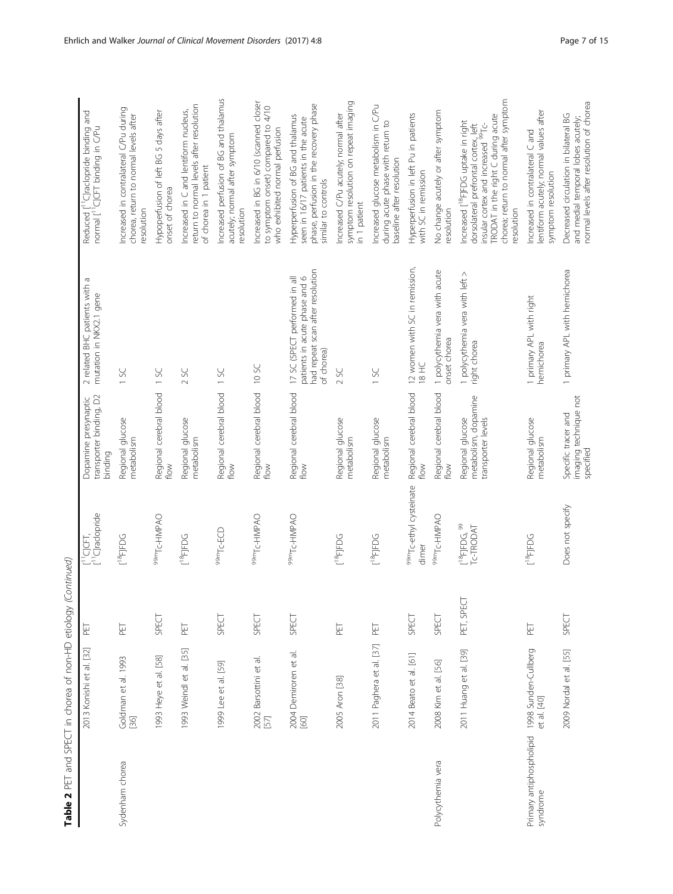|                                                           | 2013 Konishi et al. [32]         | PET        | [ <sup>11</sup> C]CFT,<br>[ <sup>11</sup> C]raclopride | transporter binding, D2<br>Dopamine presynaptic<br>binding     | 2 related BHC patients with a<br>mutation in NKX2.1 gene                                                         | Reduced [ <sup>11</sup> C]raclopride binding and<br>normal [ <sup>11</sup> C]CFT binding in C/Pu                                                                                                                                        |
|-----------------------------------------------------------|----------------------------------|------------|--------------------------------------------------------|----------------------------------------------------------------|------------------------------------------------------------------------------------------------------------------|-----------------------------------------------------------------------------------------------------------------------------------------------------------------------------------------------------------------------------------------|
| Sydenham chorea                                           | Goldman et al. 1993<br>[36]      | PET        | L <sup>18</sup> FJFDG                                  | Regional glucose<br>metabolism                                 | 5C                                                                                                               | Increased in contralateral C/Pu during<br>chorea, return to normal levels after<br>resolution                                                                                                                                           |
|                                                           | 1993 Heye et al. [58]            | SPECT      | 99mTc-HMPAO                                            | Regional cerebral blood<br>flow                                | 15C                                                                                                              | Hypoperfusion of left BG 5 days after<br>onset of chorea                                                                                                                                                                                |
|                                                           | 1993 Weindlet al. [35]           | PET        | $[18$ FJFDG                                            | Regional glucose<br>metabolism                                 | 2 S C                                                                                                            | return to normal levels after resolution<br>Increased in C and lentiform nucleus,<br>of chorea in 1 patient                                                                                                                             |
|                                                           | 1999 Lee et al. [59]             | SPECT      | 99mTc-ECD                                              | Regional cerebral blood<br>flow                                | 1 SC                                                                                                             | Increased perfusion of BG and thalamus<br>acutely; normal after symptom<br>resolution                                                                                                                                                   |
|                                                           | 2002 Barsottini et al.<br>$[57]$ | SPECT      | 99mmTc-HMPAO                                           | Regional cerebral blood<br>flow                                | 10 SC                                                                                                            | Increased in BG in 6/10 (scanned closer<br>to symptom onset) compared to 4/10<br>who exhibited normal perfusion                                                                                                                         |
|                                                           | 2004 Demiroren et al.<br>[60]    | SPECT      | PAUNH-DLude                                            | Regional cerebral blood<br>flow                                | had repeat scan after resolution<br>17 SC (SPECT performed in all<br>patients in acute phase and 6<br>of chorea) | phase, perfusion in the recovery phase<br>Hyperperfusion of BG and thalamus<br>seen in 16/17 patients in the acute<br>similar to controls                                                                                               |
|                                                           | 2005 Aron [38]                   | PET        | <sup>18</sup> FJFDG                                    | Regional glucose<br>metabolism                                 | 25C                                                                                                              | symptom resolution on repeat imaging<br>Increased C/Pu acutely; normal after<br>in 1 patient                                                                                                                                            |
|                                                           | 2011 Paghera et al. [37]         | PET        | L <sup>18</sup> FJFDG                                  | Regional glucose<br>metabolism                                 | 15C                                                                                                              | Increased glucose metabolism in C/Pu<br>during acute phase with return to<br>baseline after resolution                                                                                                                                  |
|                                                           | 2014 Beato et al. [61]           | SPECT      | 99mTc-ethyl cysteinate<br>dimer                        | Regional cerebral blood<br>flow                                | 12 women with SC in remission,<br>18 HC                                                                          | Hyperperfusion in left Pu in patients<br>with SC in remission                                                                                                                                                                           |
| Polycythemia vera                                         | 2008 Kim et al. [56]             | SPECT      | 99mTc-HMPAO                                            | Regional cerebral blood<br>flow                                | 1 polycythemia vera with acute<br>onset chorea                                                                   | No change acutely or after symptom<br>resolution                                                                                                                                                                                        |
|                                                           | 2011 Huang et al. [39]           | PET, SPECT | $[{}^{18}$ FJFDG, ${}^{99}$<br>Tc-TRODAT               | metabolism, dopamine<br>Regional glucose<br>transporter levels | 1 polycythemia vera with left ><br>right chorea                                                                  | chorea; return to normal after symptom<br>TRODAT in the right C during acute<br>Increased [ <sup>18</sup> FJFDG uptake in right<br>insular cortex and increased <sup>99</sup> Tc-<br>dorsolateral prefrontal cortex, left<br>resolution |
| Primary antiphospholipid 1998 Sunden-Cullberg<br>syndrome | et al. [40]                      | PET        | $L^{18}$ FJFDG                                         | Regional glucose<br>metabolism                                 | 1 primary APL with right<br>hemichorea                                                                           | lentiform acutely; normal values after<br>Increased in contralateral C and<br>symptom resolution                                                                                                                                        |
|                                                           | 2009 Nordal et al. [55]          | SPECT      | Does not specify                                       | imaging technique not<br>Specific tracer and<br>specified      | 1 primary APL with hemichorea                                                                                    | normal levels after resolution of chorea<br>Decreased circulation in bilateral BG<br>and medial temporal lobes acutely;                                                                                                                 |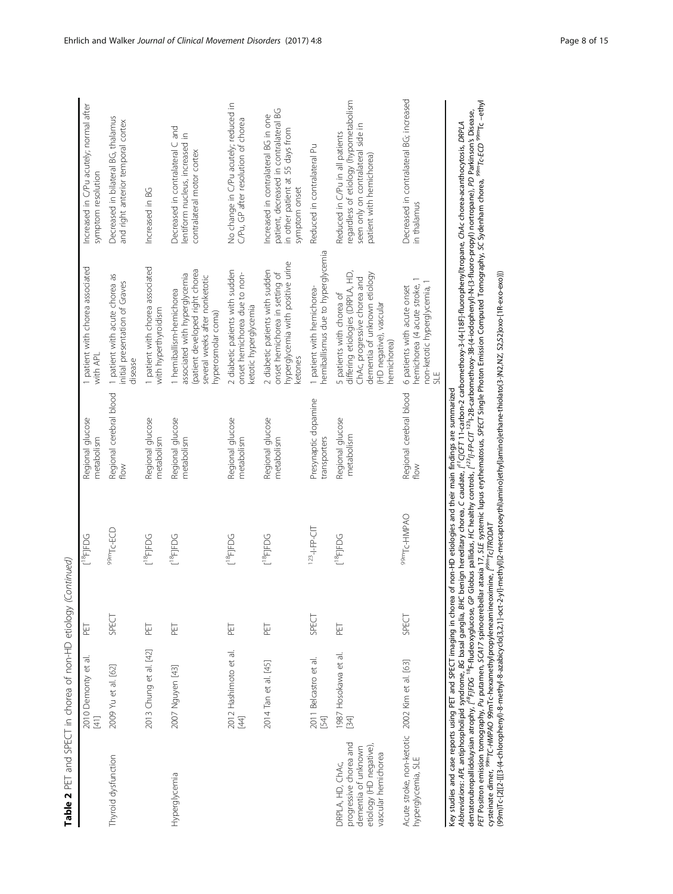|                                                                                                                     | 2010 Demonty et al.<br>[41]    | PET   | [ <sup>18</sup> FJFDG | Regional glucose<br>metabolism       | patient with chorea associated<br>with APL                                                                                                                              | Increased in C/Pu acutely; normal after<br>symptom resolution                                                                               |
|---------------------------------------------------------------------------------------------------------------------|--------------------------------|-------|-----------------------|--------------------------------------|-------------------------------------------------------------------------------------------------------------------------------------------------------------------------|---------------------------------------------------------------------------------------------------------------------------------------------|
| Thyroid dysfunction                                                                                                 | 2009 Yu et al. [62]            | SPECT | 99mTc-ECD             | Regional cerebral blood<br>flow      | 1 patient with acute chorea as<br>initial presentation of Graves<br>disease                                                                                             | Decreased in bilateral BG, thalamus<br>and right anterior temporal cortex                                                                   |
|                                                                                                                     | 2013 Chung et al. [42]         | PET   | L <sup>18</sup> FJFDG | Regional glucose<br>metabolism       | 1 patient with chorea associated<br>with hyperthyroidism                                                                                                                | Increased in BG                                                                                                                             |
| Hyperglycemia                                                                                                       | 2007 Nguyen [43]               | PET   | $[18$ FJFDG           | Regional glucose<br>metabolism       | patient developed right chorea<br>associated with hyperglycemia<br>several weeks after nonketotic<br>1 hemiballism-hemichorea<br>hyperosmolar coma)                     | Decreased in contralateral C and<br>lentiform nucleus, increased in<br>contralateral motor cortex                                           |
|                                                                                                                     | 2012 Hashimoto et al.<br>[44]  | ET    | L <sup>18</sup> FJFDG | Regional glucose<br>metabolism       | 2 diabetic patients with sudden<br>onset hemichorea due to non-<br>ketotic hyperglycemia                                                                                | No change in C/Pu acutely; reduced in<br>C/Pu, GP after resolution of chorea                                                                |
|                                                                                                                     | 2014 Tan et al. [45]           | PET   | L <sup>18</sup> FJFDG | Regional glucose<br>metabolism       | hyperglycemia with positive urine<br>2 diabetic patients with sudden<br>onset hemichorea in setting of<br>ketones                                                       | 89<br>Increased in contralateral BG in one<br>patient, decreased in contralateral<br>in other patient at 55 days from<br>symptom onset      |
|                                                                                                                     | 2011 Belcastro et al.<br>[54]  | SPECT | $123 - FPT - CIT$     | Presynaptic dopamine<br>transporters | hemiballismus due to hyperglycemia<br>1 patient with hemichorea-                                                                                                        | Reduced in contralateral Pu                                                                                                                 |
| progressive chorea and<br>etiology (HD negative),<br>dementia of unknown<br>rascular hemichorea<br>DRPLA, HD, ChAc, | 1987 Hosokawa et al.<br>$[34]$ | PET   | $[18$ FJFDG           | Regional glucose<br>metabolism       | differing etiologies (DRPLA, HD,<br>dementia of unknown etiology<br>ChAc, progressive chorea and<br>5 patients with chorea of<br>(HD negative), vascular<br>hemichorea) | regardless of etiology (hypometabolism<br>seen only on contralateral side in<br>Reduced in C/Pu in all patients<br>patient with hemichorea) |
| Acute stroke, non-ketotic 2002 Kim et al. [63]<br>hyperglycemia, SLE                                                |                                | SPECT | 99mTc-HMPAO           | Regional cerebral blood<br>flow      | hemichorea (4 acute stroke,<br>6 patients with acute onset<br>non-ketotic hyperglycemia,<br>SLE                                                                         | Decreased in contralateral BG; increased<br>in thalamus                                                                                     |

лоогеидоов: иг атрохоровра synarome, во ваза gangla, внс вепар петешагу спока, с сиск и н-сапоот 2 сапоотвому-3-4-1 из нокоровну/провле, слистомом, игда<br>PET Postron emission tomography, <sup>p/e</sup>JFbm +, SCAT? synocete; ellar PET Positron emission tomography, Pu putamen, SCA17 spinocerebellar ataxia 17, SLE systemic lupus erythematosus, SPECT Single Photon Emission Computed Tomography, SC Sydenham chorea, 99mTc-ECD 99mTc –ethyl dentatorubropallidoluysian atrophy, [<sup>18</sup>F-fludeoxyglucose, GP Globus pallidus, HC healthy controls, [<sup>123</sup>I]-FP-CIT <sup>123</sup>I-2B-carbomethoxy-3B-(4-iodophenyl)-N-(3-fluoro-propyl) nortropane), PD Parkinson's Disease,

cysteinate dimer, <sup>99m</sup>TC-HMPAO 99mTc-hexamethylpropyleneamineoximine, [<sup>99m</sup>Tc]TRODAT (99m)Tc-[2[[2-[[[3-(4-chlorophenyl)-8-methyl-8-azabicyclo[3,2,1]-oct-2-yl]-methyl](2-mercaptoeythl)amino]ethyl]amino]ethane-thiolato(3-)N2,N2', S2,S2]oxo-[1R-exo-exo)])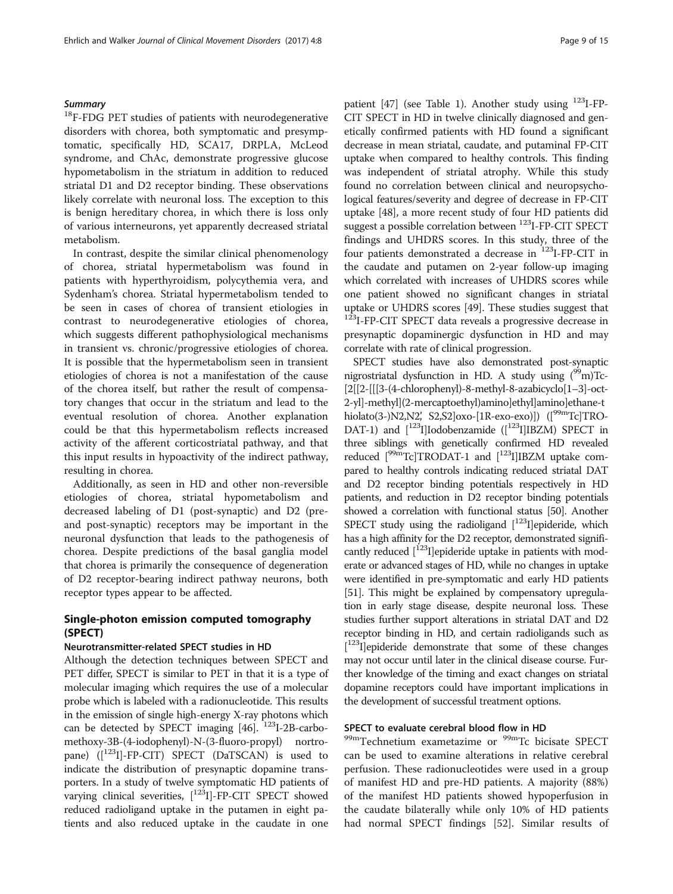<sup>18</sup>F-FDG PET studies of patients with neurodegenerative disorders with chorea, both symptomatic and presymptomatic, specifically HD, SCA17, DRPLA, McLeod syndrome, and ChAc, demonstrate progressive glucose hypometabolism in the striatum in addition to reduced striatal D1 and D2 receptor binding. These observations likely correlate with neuronal loss. The exception to this is benign hereditary chorea, in which there is loss only of various interneurons, yet apparently decreased striatal metabolism.

In contrast, despite the similar clinical phenomenology of chorea, striatal hypermetabolism was found in patients with hyperthyroidism, polycythemia vera, and Sydenham's chorea. Striatal hypermetabolism tended to be seen in cases of chorea of transient etiologies in contrast to neurodegenerative etiologies of chorea, which suggests different pathophysiological mechanisms in transient vs. chronic/progressive etiologies of chorea. It is possible that the hypermetabolism seen in transient etiologies of chorea is not a manifestation of the cause of the chorea itself, but rather the result of compensatory changes that occur in the striatum and lead to the eventual resolution of chorea. Another explanation could be that this hypermetabolism reflects increased activity of the afferent corticostriatal pathway, and that this input results in hypoactivity of the indirect pathway, resulting in chorea.

Additionally, as seen in HD and other non-reversible etiologies of chorea, striatal hypometabolism and decreased labeling of D1 (post-synaptic) and D2 (preand post-synaptic) receptors may be important in the neuronal dysfunction that leads to the pathogenesis of chorea. Despite predictions of the basal ganglia model that chorea is primarily the consequence of degeneration of D2 receptor-bearing indirect pathway neurons, both receptor types appear to be affected.

### Single-photon emission computed tomography (SPECT)

#### Neurotransmitter-related SPECT studies in HD

Although the detection techniques between SPECT and PET differ, SPECT is similar to PET in that it is a type of molecular imaging which requires the use of a molecular probe which is labeled with a radionucleotide. This results in the emission of single high-energy X-ray photons which can be detected by SPECT imaging  $[46]$  $[46]$ . <sup>123</sup>I-2B-carbomethoxy-3B-(4-iodophenyl)-N-(3-fluoro-propyl) nortropane) ( $\left[\right]^{123}$ I]-FP-CIT) SPECT (DaTSCAN) is used to indicate the distribution of presynaptic dopamine transporters. In a study of twelve symptomatic HD patients of varying clinical severities, [<sup>123</sup>I]-FP-CIT SPECT showed reduced radioligand uptake in the putamen in eight patients and also reduced uptake in the caudate in one

patient [\[47\]](#page-13-0) (see Table [1\)](#page-2-0). Another study using <sup>123</sup>I-FP-CIT SPECT in HD in twelve clinically diagnosed and genetically confirmed patients with HD found a significant decrease in mean striatal, caudate, and putaminal FP-CIT uptake when compared to healthy controls. This finding was independent of striatal atrophy. While this study found no correlation between clinical and neuropsychological features/severity and degree of decrease in FP-CIT uptake [\[48\]](#page-13-0), a more recent study of four HD patients did suggest a possible correlation between 123I-FP-CIT SPECT findings and UHDRS scores. In this study, three of the four patients demonstrated a decrease in 123I-FP-CIT in the caudate and putamen on 2-year follow-up imaging which correlated with increases of UHDRS scores while one patient showed no significant changes in striatal uptake or UHDRS scores [[49\]](#page-13-0). These studies suggest that <sup>123</sup>I-FP-CIT SPECT data reveals a progressive decrease in presynaptic dopaminergic dysfunction in HD and may correlate with rate of clinical progression.

SPECT studies have also demonstrated post-synaptic nigrostriatal dysfunction in HD. A study using  $(^{99}m)$ Tc- $[2][2-[[3-(4-chloropheny]-8-methyl-8-azabicyclo[1-3]-oct [2][2-[[3-(4-chloropheny]-8-methyl-8-azabicyclo[1-3]-oct [2][2-[[3-(4-chloropheny]-8-methyl-8-azabicyclo[1-3]-oct [2][2-[[3-(4-chloropheny]-8-methyl-8-azabicyclo[1-3]-oct [2][2-[[3-(4-chloropheny]-8-methyl-8-azabicyclo[1-3]-oct-$ 2-yl]-methyl](2-mercaptoethyl)amino]ethyl]amino]ethane-t hiolato(3-)N2,N2, S2,S2]oxo-[1R-exo-exo)])  $(|^{99m}\text{TC}| \text{TRO}$ -DAT-1) and  $[123]$ Iodobenzamide  $([123]$ IBZM) SPECT in three siblings with genetically confirmed HD revealed reduced  $[{}^{99m}\text{TC}|\text{TRODAT-1}$  and  $[{}^{123}\text{I}|\text{IBZM}$  uptake compared to healthy controls indicating reduced striatal DAT and D2 receptor binding potentials respectively in HD patients, and reduction in D2 receptor binding potentials showed a correlation with functional status [\[50\]](#page-13-0). Another SPECT study using the radioligand  $[123]$ ]epideride, which has a high affinity for the D2 receptor, demonstrated significantly reduced  $[123]$ ]epideride uptake in patients with moderate or advanced stages of HD, while no changes in uptake were identified in pre-symptomatic and early HD patients [[51](#page-13-0)]. This might be explained by compensatory upregulation in early stage disease, despite neuronal loss. These studies further support alterations in striatal DAT and D2 receptor binding in HD, and certain radioligands such as [<sup>123</sup>I]epideride demonstrate that some of these changes may not occur until later in the clinical disease course. Further knowledge of the timing and exact changes on striatal dopamine receptors could have important implications in the development of successful treatment options.

#### SPECT to evaluate cerebral blood flow in HD

99mTechnetium exametazime or <sup>99m</sup>Tc bicisate SPECT can be used to examine alterations in relative cerebral perfusion. These radionucleotides were used in a group of manifest HD and pre-HD patients. A majority (88%) of the manifest HD patients showed hypoperfusion in the caudate bilaterally while only 10% of HD patients had normal SPECT findings [[52\]](#page-13-0). Similar results of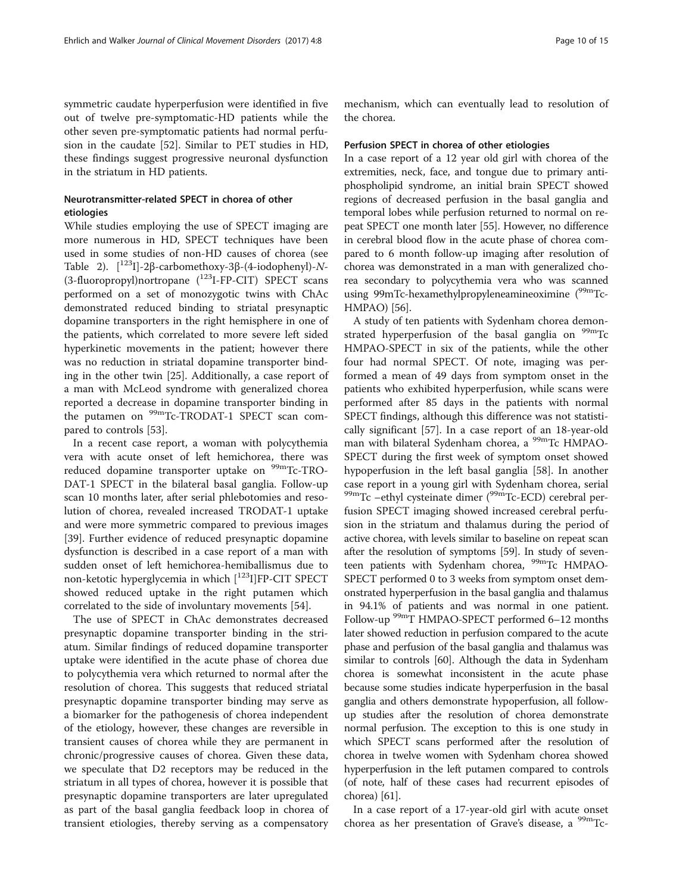symmetric caudate hyperperfusion were identified in five out of twelve pre-symptomatic-HD patients while the other seven pre-symptomatic patients had normal perfusion in the caudate [[52\]](#page-13-0). Similar to PET studies in HD, these findings suggest progressive neuronal dysfunction in the striatum in HD patients.

### Neurotransmitter-related SPECT in chorea of other etiologies

While studies employing the use of SPECT imaging are more numerous in HD, SPECT techniques have been used in some studies of non-HD causes of chorea (see Table [2\)](#page-5-0).  $\lceil 1^{23}I \rceil$ -2β-carbomethoxy-3β-(4-iodophenyl)-N-(3-fluoropropyl)nortropane (<sup>123</sup>I-FP-CIT) SPECT scans performed on a set of monozygotic twins with ChAc demonstrated reduced binding to striatal presynaptic dopamine transporters in the right hemisphere in one of the patients, which correlated to more severe left sided hyperkinetic movements in the patient; however there was no reduction in striatal dopamine transporter binding in the other twin [[25\]](#page-13-0). Additionally, a case report of a man with McLeod syndrome with generalized chorea reported a decrease in dopamine transporter binding in the putamen on 99mTc-TRODAT-1 SPECT scan compared to controls [\[53\]](#page-13-0).

In a recent case report, a woman with polycythemia vera with acute onset of left hemichorea, there was reduced dopamine transporter uptake on <sup>99m</sup>Tc-TRO-DAT-1 SPECT in the bilateral basal ganglia. Follow-up scan 10 months later, after serial phlebotomies and resolution of chorea, revealed increased TRODAT-1 uptake and were more symmetric compared to previous images [[39\]](#page-13-0). Further evidence of reduced presynaptic dopamine dysfunction is described in a case report of a man with sudden onset of left hemichorea-hemiballismus due to non-ketotic hyperglycemia in which  $[$ <sup>123</sup>I]FP-CIT SPECT showed reduced uptake in the right putamen which correlated to the side of involuntary movements [\[54](#page-13-0)].

The use of SPECT in ChAc demonstrates decreased presynaptic dopamine transporter binding in the striatum. Similar findings of reduced dopamine transporter uptake were identified in the acute phase of chorea due to polycythemia vera which returned to normal after the resolution of chorea. This suggests that reduced striatal presynaptic dopamine transporter binding may serve as a biomarker for the pathogenesis of chorea independent of the etiology, however, these changes are reversible in transient causes of chorea while they are permanent in chronic/progressive causes of chorea. Given these data, we speculate that D2 receptors may be reduced in the striatum in all types of chorea, however it is possible that presynaptic dopamine transporters are later upregulated as part of the basal ganglia feedback loop in chorea of transient etiologies, thereby serving as a compensatory mechanism, which can eventually lead to resolution of the chorea.

#### Perfusion SPECT in chorea of other etiologies

In a case report of a 12 year old girl with chorea of the extremities, neck, face, and tongue due to primary antiphospholipid syndrome, an initial brain SPECT showed regions of decreased perfusion in the basal ganglia and temporal lobes while perfusion returned to normal on repeat SPECT one month later [[55](#page-13-0)]. However, no difference in cerebral blood flow in the acute phase of chorea compared to 6 month follow-up imaging after resolution of chorea was demonstrated in a man with generalized chorea secondary to polycythemia vera who was scanned using 99mTc-hexamethylpropyleneamineoximine (<sup>99m</sup>Tc-HMPAO) [\[56](#page-13-0)].

A study of ten patients with Sydenham chorea demonstrated hyperperfusion of the basal ganglia on <sup>99m</sup>Tc HMPAO-SPECT in six of the patients, while the other four had normal SPECT. Of note, imaging was performed a mean of 49 days from symptom onset in the patients who exhibited hyperperfusion, while scans were performed after 85 days in the patients with normal SPECT findings, although this difference was not statistically significant [[57\]](#page-13-0). In a case report of an 18-year-old man with bilateral Sydenham chorea, a <sup>99m</sup>Tc HMPAO-SPECT during the first week of symptom onset showed hypoperfusion in the left basal ganglia [[58\]](#page-13-0). In another case report in a young girl with Sydenham chorea, serial 99mTc –ethyl cysteinate dimer (<sup>99m</sup>Tc-ECD) cerebral perfusion SPECT imaging showed increased cerebral perfusion in the striatum and thalamus during the period of active chorea, with levels similar to baseline on repeat scan after the resolution of symptoms [[59](#page-13-0)]. In study of seventeen patients with Sydenham chorea, <sup>99m</sup>Tc HMPAO-SPECT performed 0 to 3 weeks from symptom onset demonstrated hyperperfusion in the basal ganglia and thalamus in 94.1% of patients and was normal in one patient. Follow-up 99mT HMPAO-SPECT performed 6–12 months later showed reduction in perfusion compared to the acute phase and perfusion of the basal ganglia and thalamus was similar to controls [\[60\]](#page-13-0). Although the data in Sydenham chorea is somewhat inconsistent in the acute phase because some studies indicate hyperperfusion in the basal ganglia and others demonstrate hypoperfusion, all followup studies after the resolution of chorea demonstrate normal perfusion. The exception to this is one study in which SPECT scans performed after the resolution of chorea in twelve women with Sydenham chorea showed hyperperfusion in the left putamen compared to controls (of note, half of these cases had recurrent episodes of chorea) [\[61\]](#page-13-0).

In a case report of a 17-year-old girl with acute onset chorea as her presentation of Grave's disease, a  $99m$ Tc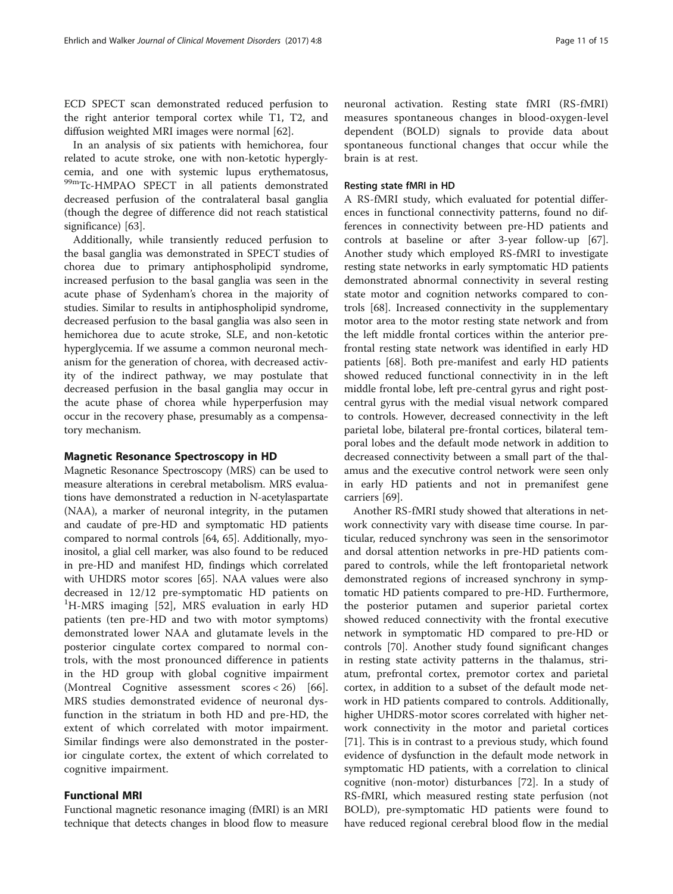ECD SPECT scan demonstrated reduced perfusion to the right anterior temporal cortex while T1, T2, and diffusion weighted MRI images were normal [[62\]](#page-13-0).

In an analysis of six patients with hemichorea, four related to acute stroke, one with non-ketotic hyperglycemia, and one with systemic lupus erythematosus, 99mTc-HMPAO SPECT in all patients demonstrated decreased perfusion of the contralateral basal ganglia (though the degree of difference did not reach statistical significance) [\[63](#page-13-0)].

Additionally, while transiently reduced perfusion to the basal ganglia was demonstrated in SPECT studies of chorea due to primary antiphospholipid syndrome, increased perfusion to the basal ganglia was seen in the acute phase of Sydenham's chorea in the majority of studies. Similar to results in antiphospholipid syndrome, decreased perfusion to the basal ganglia was also seen in hemichorea due to acute stroke, SLE, and non-ketotic hyperglycemia. If we assume a common neuronal mechanism for the generation of chorea, with decreased activity of the indirect pathway, we may postulate that decreased perfusion in the basal ganglia may occur in the acute phase of chorea while hyperperfusion may occur in the recovery phase, presumably as a compensatory mechanism.

#### Magnetic Resonance Spectroscopy in HD

Magnetic Resonance Spectroscopy (MRS) can be used to measure alterations in cerebral metabolism. MRS evaluations have demonstrated a reduction in N-acetylaspartate (NAA), a marker of neuronal integrity, in the putamen and caudate of pre-HD and symptomatic HD patients compared to normal controls [\[64,](#page-13-0) [65\]](#page-14-0). Additionally, myoinositol, a glial cell marker, was also found to be reduced in pre-HD and manifest HD, findings which correlated with UHDRS motor scores [[65](#page-14-0)]. NAA values were also decreased in 12/12 pre-symptomatic HD patients on <sup>1</sup>H-MRS imaging [\[52](#page-13-0)], MRS evaluation in early HD patients (ten pre-HD and two with motor symptoms) demonstrated lower NAA and glutamate levels in the posterior cingulate cortex compared to normal controls, with the most pronounced difference in patients in the HD group with global cognitive impairment (Montreal Cognitive assessment scores < 26) [\[66](#page-14-0)]. MRS studies demonstrated evidence of neuronal dysfunction in the striatum in both HD and pre-HD, the extent of which correlated with motor impairment. Similar findings were also demonstrated in the posterior cingulate cortex, the extent of which correlated to cognitive impairment.

#### Functional MRI

Functional magnetic resonance imaging (fMRI) is an MRI technique that detects changes in blood flow to measure neuronal activation. Resting state fMRI (RS-fMRI) measures spontaneous changes in blood-oxygen-level dependent (BOLD) signals to provide data about spontaneous functional changes that occur while the brain is at rest.

#### Resting state fMRI in HD

A RS-fMRI study, which evaluated for potential differences in functional connectivity patterns, found no differences in connectivity between pre-HD patients and controls at baseline or after 3-year follow-up [\[67](#page-14-0)]. Another study which employed RS-fMRI to investigate resting state networks in early symptomatic HD patients demonstrated abnormal connectivity in several resting state motor and cognition networks compared to controls [[68\]](#page-14-0). Increased connectivity in the supplementary motor area to the motor resting state network and from the left middle frontal cortices within the anterior prefrontal resting state network was identified in early HD patients [[68](#page-14-0)]. Both pre-manifest and early HD patients showed reduced functional connectivity in in the left middle frontal lobe, left pre-central gyrus and right postcentral gyrus with the medial visual network compared to controls. However, decreased connectivity in the left parietal lobe, bilateral pre-frontal cortices, bilateral temporal lobes and the default mode network in addition to decreased connectivity between a small part of the thalamus and the executive control network were seen only in early HD patients and not in premanifest gene carriers [\[69](#page-14-0)].

Another RS-fMRI study showed that alterations in network connectivity vary with disease time course. In particular, reduced synchrony was seen in the sensorimotor and dorsal attention networks in pre-HD patients compared to controls, while the left frontoparietal network demonstrated regions of increased synchrony in symptomatic HD patients compared to pre-HD. Furthermore, the posterior putamen and superior parietal cortex showed reduced connectivity with the frontal executive network in symptomatic HD compared to pre-HD or controls [[70\]](#page-14-0). Another study found significant changes in resting state activity patterns in the thalamus, striatum, prefrontal cortex, premotor cortex and parietal cortex, in addition to a subset of the default mode network in HD patients compared to controls. Additionally, higher UHDRS-motor scores correlated with higher network connectivity in the motor and parietal cortices [[71\]](#page-14-0). This is in contrast to a previous study, which found evidence of dysfunction in the default mode network in symptomatic HD patients, with a correlation to clinical cognitive (non-motor) disturbances [\[72](#page-14-0)]. In a study of RS-fMRI, which measured resting state perfusion (not BOLD), pre-symptomatic HD patients were found to have reduced regional cerebral blood flow in the medial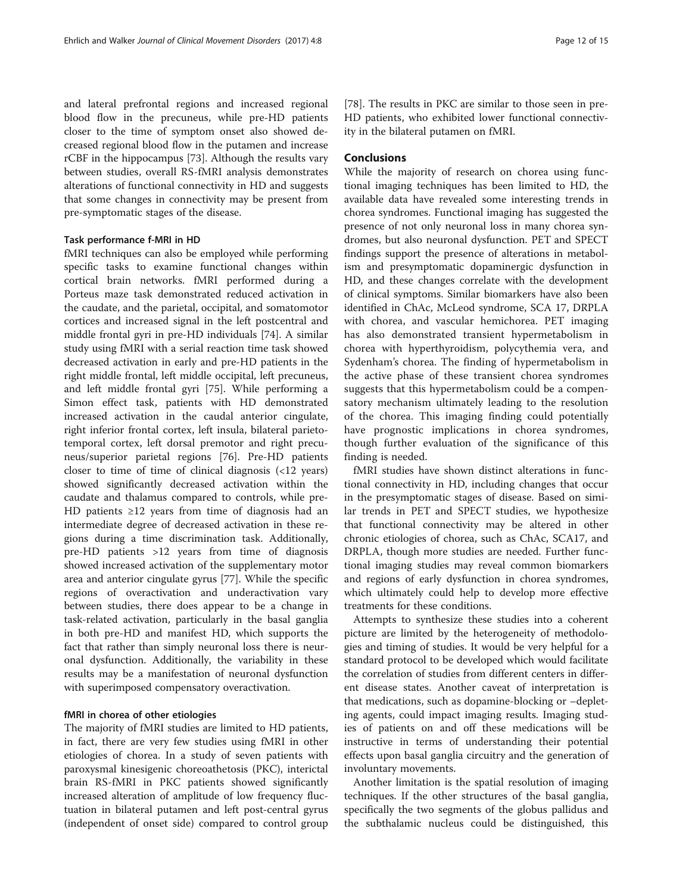and lateral prefrontal regions and increased regional blood flow in the precuneus, while pre-HD patients closer to the time of symptom onset also showed decreased regional blood flow in the putamen and increase rCBF in the hippocampus [[73](#page-14-0)]. Although the results vary between studies, overall RS-fMRI analysis demonstrates alterations of functional connectivity in HD and suggests that some changes in connectivity may be present from pre-symptomatic stages of the disease.

#### Task performance f-MRI in HD

fMRI techniques can also be employed while performing specific tasks to examine functional changes within cortical brain networks. fMRI performed during a Porteus maze task demonstrated reduced activation in the caudate, and the parietal, occipital, and somatomotor cortices and increased signal in the left postcentral and middle frontal gyri in pre-HD individuals [\[74\]](#page-14-0). A similar study using fMRI with a serial reaction time task showed decreased activation in early and pre-HD patients in the right middle frontal, left middle occipital, left precuneus, and left middle frontal gyri [[75\]](#page-14-0). While performing a Simon effect task, patients with HD demonstrated increased activation in the caudal anterior cingulate, right inferior frontal cortex, left insula, bilateral parietotemporal cortex, left dorsal premotor and right precuneus/superior parietal regions [\[76](#page-14-0)]. Pre-HD patients closer to time of time of clinical diagnosis (<12 years) showed significantly decreased activation within the caudate and thalamus compared to controls, while pre-HD patients ≥12 years from time of diagnosis had an intermediate degree of decreased activation in these regions during a time discrimination task. Additionally, pre-HD patients >12 years from time of diagnosis showed increased activation of the supplementary motor area and anterior cingulate gyrus [\[77](#page-14-0)]. While the specific regions of overactivation and underactivation vary between studies, there does appear to be a change in task-related activation, particularly in the basal ganglia in both pre-HD and manifest HD, which supports the fact that rather than simply neuronal loss there is neuronal dysfunction. Additionally, the variability in these results may be a manifestation of neuronal dysfunction with superimposed compensatory overactivation.

#### fMRI in chorea of other etiologies

The majority of fMRI studies are limited to HD patients, in fact, there are very few studies using fMRI in other etiologies of chorea. In a study of seven patients with paroxysmal kinesigenic choreoathetosis (PKC), interictal brain RS-fMRI in PKC patients showed significantly increased alteration of amplitude of low frequency fluctuation in bilateral putamen and left post-central gyrus (independent of onset side) compared to control group

[[78\]](#page-14-0). The results in PKC are similar to those seen in pre-HD patients, who exhibited lower functional connectivity in the bilateral putamen on fMRI.

### Conclusions

While the majority of research on chorea using functional imaging techniques has been limited to HD, the available data have revealed some interesting trends in chorea syndromes. Functional imaging has suggested the presence of not only neuronal loss in many chorea syndromes, but also neuronal dysfunction. PET and SPECT findings support the presence of alterations in metabolism and presymptomatic dopaminergic dysfunction in HD, and these changes correlate with the development of clinical symptoms. Similar biomarkers have also been identified in ChAc, McLeod syndrome, SCA 17, DRPLA with chorea, and vascular hemichorea. PET imaging has also demonstrated transient hypermetabolism in chorea with hyperthyroidism, polycythemia vera, and Sydenham's chorea. The finding of hypermetabolism in the active phase of these transient chorea syndromes suggests that this hypermetabolism could be a compensatory mechanism ultimately leading to the resolution of the chorea. This imaging finding could potentially have prognostic implications in chorea syndromes, though further evaluation of the significance of this finding is needed.

fMRI studies have shown distinct alterations in functional connectivity in HD, including changes that occur in the presymptomatic stages of disease. Based on similar trends in PET and SPECT studies, we hypothesize that functional connectivity may be altered in other chronic etiologies of chorea, such as ChAc, SCA17, and DRPLA, though more studies are needed. Further functional imaging studies may reveal common biomarkers and regions of early dysfunction in chorea syndromes, which ultimately could help to develop more effective treatments for these conditions.

Attempts to synthesize these studies into a coherent picture are limited by the heterogeneity of methodologies and timing of studies. It would be very helpful for a standard protocol to be developed which would facilitate the correlation of studies from different centers in different disease states. Another caveat of interpretation is that medications, such as dopamine-blocking or –depleting agents, could impact imaging results. Imaging studies of patients on and off these medications will be instructive in terms of understanding their potential effects upon basal ganglia circuitry and the generation of involuntary movements.

Another limitation is the spatial resolution of imaging techniques. If the other structures of the basal ganglia, specifically the two segments of the globus pallidus and the subthalamic nucleus could be distinguished, this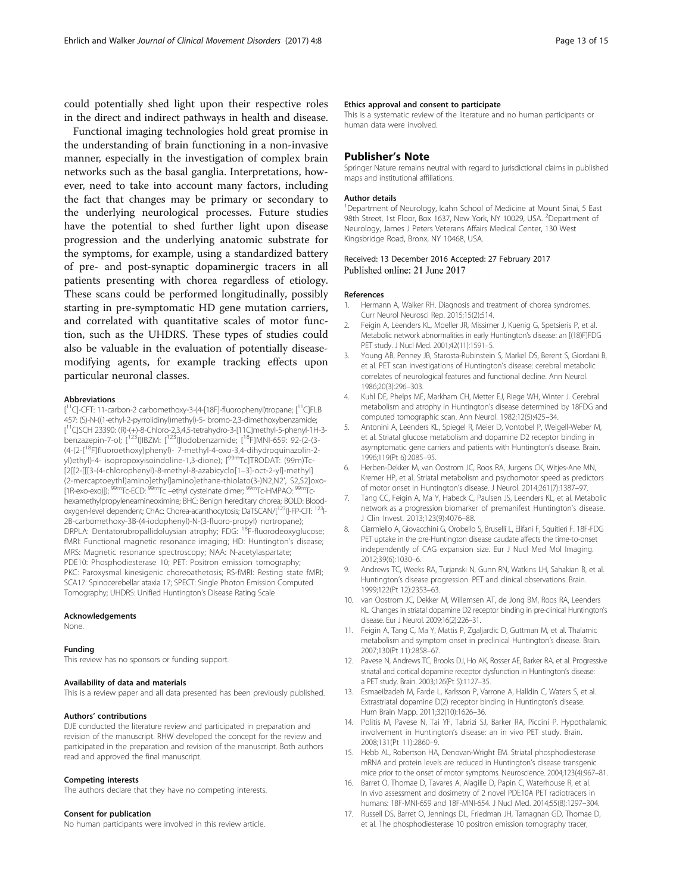<span id="page-12-0"></span>could potentially shed light upon their respective roles in the direct and indirect pathways in health and disease.

Functional imaging technologies hold great promise in the understanding of brain functioning in a non-invasive manner, especially in the investigation of complex brain networks such as the basal ganglia. Interpretations, however, need to take into account many factors, including the fact that changes may be primary or secondary to the underlying neurological processes. Future studies have the potential to shed further light upon disease progression and the underlying anatomic substrate for the symptoms, for example, using a standardized battery of pre- and post-synaptic dopaminergic tracers in all patients presenting with chorea regardless of etiology. These scans could be performed longitudinally, possibly starting in pre-symptomatic HD gene mutation carriers, and correlated with quantitative scales of motor function, such as the UHDRS. These types of studies could also be valuable in the evaluation of potentially diseasemodifying agents, for example tracking effects upon particular neuronal classes.

#### Abbreviations

[<sup>11</sup>C]-CFT: 11-carbon-2 carbomethoxy-3-(4-[18F]-fluorophenyl)tropane; [<sup>11</sup>C]FLB 457: (S)-N-((1-ethyl-2-pyrrolidinyl)methyl)-5- bromo-2,3-dimethoxybenzamide; [ 11C]SCH 23390: (R)-(+)-8-Chloro-2,3,4,5-tetrahydro-3-[11C]methyl-5-phenyl-1H-3 benzazepin-7-ol; [<sup>123</sup>I]IBZM: [<sup>123</sup>I]Iodobenzamide; [<sup>18</sup>F]MNI-659: 92-(2-(3-(4-(2-[18F]fluoroethoxy)phenyl)- 7-methyl-4-oxo-3,4-dihydroquinazolin-2 yl)ethyl)-4- isopropoxyisoindoline-1,3-dione); [<sup>99m</sup>Tc]TRODAT: (99m)Tc-[2[[2-[[[3-(4-chlorophenyl)-8-methyl-8-azabicyclo[1–3]-oct-2-yl]-methyl] (2-mercaptoeythl)amino]ethyl]amino]ethane-thiolato(3-)N2,N2', S2,S2]oxo- [1R-exo-exo)]); 99mTc-ECD: 99mTc –ethyl cysteinate dimer; 99mTc-HMPAO: 99mTchexamethylpropyleneamineoximine; BHC: Benign hereditary chorea; BOLD: Bloodoxygen-level dependent; ChAc: Chorea-acanthocytosis; DaTSCAN/[123I]-FP-CIT: 123I-2B-carbomethoxy-3B-(4-iodophenyl)-N-(3-fluoro-propyl) nortropane); DRPLA: Dentatorubropallidoluysian atrophy; FDG: <sup>18</sup>F-fluorodeoxyglucose; fMRI: Functional magnetic resonance imaging; HD: Huntington's disease; MRS: Magnetic resonance spectroscopy; NAA: N-acetylaspartate; PDE10: Phosphodiesterase 10; PET: Positron emission tomography; PKC: Paroxysmal kinesigenic choreoathetosis; RS-fMRI: Resting state fMRI; SCA17: Spinocerebellar ataxia 17; SPECT: Single Photon Emission Computed Tomography; UHDRS: Unified Huntington's Disease Rating Scale

#### Acknowledgements

None.

#### Funding

This review has no sponsors or funding support.

#### Availability of data and materials

This is a review paper and all data presented has been previously published.

#### Authors' contributions

DJE conducted the literature review and participated in preparation and revision of the manuscript. RHW developed the concept for the review and participated in the preparation and revision of the manuscript. Both authors read and approved the final manuscript.

#### Competing interests

The authors declare that they have no competing interests.

#### Consent for publication

No human participants were involved in this review article.

This is a systematic review of the literature and no human participants or human data were involved.

#### Publisher's Note

Springer Nature remains neutral with regard to jurisdictional claims in published maps and institutional affiliations.

#### Author details

<sup>1</sup>Department of Neurology, Icahn School of Medicine at Mount Sinai, 5 East 98th Street, 1st Floor, Box 1637, New York, NY 10029, USA. <sup>2</sup>Department of Neurology, James J Peters Veterans Affairs Medical Center, 130 West Kingsbridge Road, Bronx, NY 10468, USA.

#### Received: 13 December 2016 Accepted: 27 February 2017 Published online: 21 June 2017

#### References

- 1. Hermann A, Walker RH. Diagnosis and treatment of chorea syndromes. Curr Neurol Neurosci Rep. 2015;15(2):514.
- 2. Feigin A, Leenders KL, Moeller JR, Missimer J, Kuenig G, Spetsieris P, et al. Metabolic network abnormalities in early Huntington's disease: an [(18)F]FDG PET study. J Nucl Med. 2001;42(11):1591–5.
- 3. Young AB, Penney JB, Starosta-Rubinstein S, Markel DS, Berent S, Giordani B, et al. PET scan investigations of Huntington's disease: cerebral metabolic correlates of neurological features and functional decline. Ann Neurol. 1986;20(3):296–303.
- 4. Kuhl DE, Phelps ME, Markham CH, Metter EJ, Riege WH, Winter J. Cerebral metabolism and atrophy in Huntington's disease determined by 18FDG and computed tomographic scan. Ann Neurol. 1982;12(5):425–34.
- 5. Antonini A, Leenders KL, Spiegel R, Meier D, Vontobel P, Weigell-Weber M, et al. Striatal glucose metabolism and dopamine D2 receptor binding in asymptomatic gene carriers and patients with Huntington's disease. Brain. 1996;119(Pt 6):2085–95.
- 6. Herben-Dekker M, van Oostrom JC, Roos RA, Jurgens CK, Witjes-Ane MN, Kremer HP, et al. Striatal metabolism and psychomotor speed as predictors of motor onset in Huntington's disease. J Neurol. 2014;261(7):1387–97.
- 7. Tang CC, Feigin A, Ma Y, Habeck C, Paulsen JS, Leenders KL, et al. Metabolic network as a progression biomarker of premanifest Huntington's disease. J Clin Invest. 2013;123(9):4076–88.
- 8. Ciarmiello A, Giovacchini G, Orobello S, Bruselli L, Elifani F, Squitieri F. 18F-FDG PET uptake in the pre-Huntington disease caudate affects the time-to-onset independently of CAG expansion size. Eur J Nucl Med Mol Imaging. 2012;39(6):1030–6.
- 9. Andrews TC, Weeks RA, Turjanski N, Gunn RN, Watkins LH, Sahakian B, et al. Huntington's disease progression. PET and clinical observations. Brain. 1999;122(Pt 12):2353–63.
- 10. van Oostrom JC, Dekker M, Willemsen AT, de Jong BM, Roos RA, Leenders KL. Changes in striatal dopamine D2 receptor binding in pre-clinical Huntington's disease. Eur J Neurol. 2009;16(2):226–31.
- 11. Feigin A, Tang C, Ma Y, Mattis P, Zgaljardic D, Guttman M, et al. Thalamic metabolism and symptom onset in preclinical Huntington's disease. Brain. 2007;130(Pt 11):2858–67.
- 12. Pavese N, Andrews TC, Brooks DJ, Ho AK, Rosser AE, Barker RA, et al. Progressive striatal and cortical dopamine receptor dysfunction in Huntington's disease: a PET study. Brain. 2003;126(Pt 5):1127–35.
- 13. Esmaeilzadeh M, Farde L, Karlsson P, Varrone A, Halldin C, Waters S, et al. Extrastriatal dopamine D(2) receptor binding in Huntington's disease. Hum Brain Mapp. 2011;32(10):1626–36.
- 14. Politis M, Pavese N, Tai YF, Tabrizi SJ, Barker RA, Piccini P. Hypothalamic involvement in Huntington's disease: an in vivo PET study. Brain. 2008;131(Pt 11):2860–9.
- 15. Hebb AL, Robertson HA, Denovan-Wright EM. Striatal phosphodiesterase mRNA and protein levels are reduced in Huntington's disease transgenic mice prior to the onset of motor symptoms. Neuroscience. 2004;123(4):967–81.
- 16. Barret O, Thomae D, Tavares A, Alagille D, Papin C, Waterhouse R, et al. In vivo assessment and dosimetry of 2 novel PDE10A PET radiotracers in humans: 18F-MNI-659 and 18F-MNI-654. J Nucl Med. 2014;55(8):1297–304.
- 17. Russell DS, Barret O, Jennings DL, Friedman JH, Tamagnan GD, Thomae D, et al. The phosphodiesterase 10 positron emission tomography tracer,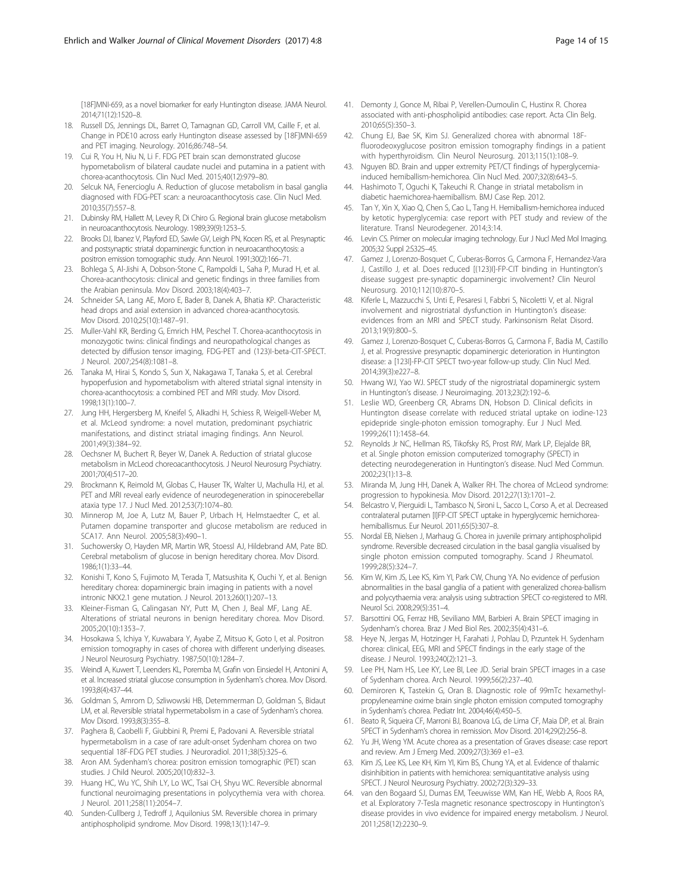<span id="page-13-0"></span>[18F]MNI-659, as a novel biomarker for early Huntington disease. JAMA Neurol. 2014;71(12):1520–8.

- 18. Russell DS, Jennings DL, Barret O, Tamagnan GD, Carroll VM, Caille F, et al. Change in PDE10 across early Huntington disease assessed by [18F]MNI-659 and PET imaging. Neurology. 2016;86:748–54.
- 19. Cui R, You H, Niu N, Li F. FDG PET brain scan demonstrated glucose hypometabolism of bilateral caudate nuclei and putamina in a patient with chorea-acanthocytosis. Clin Nucl Med. 2015;40(12):979–80.
- 20. Selcuk NA, Fenercioglu A. Reduction of glucose metabolism in basal ganglia diagnosed with FDG-PET scan: a neuroacanthocytosis case. Clin Nucl Med. 2010;35(7):557–8.
- 21. Dubinsky RM, Hallett M, Levey R, Di Chiro G. Regional brain glucose metabolism in neuroacanthocytosis. Neurology. 1989;39(9):1253–5.
- 22. Brooks DJ, Ibanez V, Playford ED, Sawle GV, Leigh PN, Kocen RS, et al. Presynaptic and postsynaptic striatal dopaminergic function in neuroacanthocytosis: a positron emission tomographic study. Ann Neurol. 1991;30(2):166–71.
- 23. Bohlega S, Al-Jishi A, Dobson-Stone C, Rampoldi L, Saha P, Murad H, et al. Chorea-acanthocytosis: clinical and genetic findings in three families from the Arabian peninsula. Mov Disord. 2003;18(4):403–7.
- 24. Schneider SA, Lang AE, Moro E, Bader B, Danek A, Bhatia KP. Characteristic head drops and axial extension in advanced chorea-acanthocytosis. Mov Disord. 2010;25(10):1487–91.
- 25. Muller-Vahl KR, Berding G, Emrich HM, Peschel T. Chorea-acanthocytosis in monozygotic twins: clinical findings and neuropathological changes as detected by diffusion tensor imaging, FDG-PET and (123)I-beta-CIT-SPECT. J Neurol. 2007;254(8):1081–8.
- 26. Tanaka M, Hirai S, Kondo S, Sun X, Nakagawa T, Tanaka S, et al. Cerebral hypoperfusion and hypometabolism with altered striatal signal intensity in chorea-acanthocytosis: a combined PET and MRI study. Mov Disord. 1998;13(1):100–7.
- 27. Jung HH, Hergersberg M, Kneifel S, Alkadhi H, Schiess R, Weigell-Weber M, et al. McLeod syndrome: a novel mutation, predominant psychiatric manifestations, and distinct striatal imaging findings. Ann Neurol. 2001;49(3):384–92.
- 28. Oechsner M, Buchert R, Beyer W, Danek A. Reduction of striatal glucose metabolism in McLeod choreoacanthocytosis. J Neurol Neurosurg Psychiatry. 2001;70(4):517–20.
- 29. Brockmann K, Reimold M, Globas C, Hauser TK, Walter U, Machulla HJ, et al. PET and MRI reveal early evidence of neurodegeneration in spinocerebellar ataxia type 17. J Nucl Med. 2012;53(7):1074–80.
- 30. Minnerop M, Joe A, Lutz M, Bauer P, Urbach H, Helmstaedter C, et al. Putamen dopamine transporter and glucose metabolism are reduced in SCA17. Ann Neurol. 2005;58(3):490–1.
- 31. Suchowersky O, Hayden MR, Martin WR, Stoessl AJ, Hildebrand AM, Pate BD. Cerebral metabolism of glucose in benign hereditary chorea. Mov Disord. 1986;1(1):33–44.
- 32. Konishi T, Kono S, Fujimoto M, Terada T, Matsushita K, Ouchi Y, et al. Benign hereditary chorea: dopaminergic brain imaging in patients with a novel intronic NKX2.1 gene mutation. J Neurol. 2013;260(1):207–13.
- 33. Kleiner-Fisman G, Calingasan NY, Putt M, Chen J, Beal MF, Lang AE. Alterations of striatal neurons in benign hereditary chorea. Mov Disord. 2005;20(10):1353–7.
- 34. Hosokawa S, Ichiya Y, Kuwabara Y, Ayabe Z, Mitsuo K, Goto I, et al. Positron emission tomography in cases of chorea with different underlying diseases. J Neurol Neurosurg Psychiatry. 1987;50(10):1284–7.
- 35. Weindl A, Kuwert T, Leenders KL, Poremba M, Grafin von Einsiedel H, Antonini A, et al. Increased striatal glucose consumption in Sydenham's chorea. Mov Disord. 1993;8(4):437–44.
- 36. Goldman S, Amrom D, Szliwowski HB, Detemmerman D, Goldman S, Bidaut LM, et al. Reversible striatal hypermetabolism in a case of Sydenham's chorea. Mov Disord. 1993;8(3):355–8.
- 37. Paghera B, Caobelli F, Giubbini R, Premi E, Padovani A. Reversible striatal hypermetabolism in a case of rare adult-onset Sydenham chorea on two sequential 18F-FDG PET studies. J Neuroradiol. 2011;38(5):325–6.
- 38. Aron AM. Sydenham's chorea: positron emission tomographic (PET) scan studies. J Child Neurol. 2005;20(10):832–3.
- 39. Huang HC, Wu YC, Shih LY, Lo WC, Tsai CH, Shyu WC. Reversible abnormal functional neuroimaging presentations in polycythemia vera with chorea. J Neurol. 2011;258(11):2054–7.
- 40. Sunden-Cullberg J, Tedroff J, Aquilonius SM. Reversible chorea in primary antiphospholipid syndrome. Mov Disord. 1998;13(1):147–9.
- 41. Demonty J, Gonce M, Ribai P, Verellen-Dumoulin C, Hustinx R. Chorea associated with anti-phospholipid antibodies: case report. Acta Clin Belg. 2010;65(5):350–3.
- 42. Chung EJ, Bae SK, Kim SJ. Generalized chorea with abnormal 18Ffluorodeoxyglucose positron emission tomography findings in a patient with hyperthyroidism. Clin Neurol Neurosurg. 2013;115(1):108–9.
- 43. Nguyen BD. Brain and upper extremity PET/CT findings of hyperglycemiainduced hemiballism-hemichorea. Clin Nucl Med. 2007;32(8):643–5.
- 44. Hashimoto T, Oguchi K, Takeuchi R. Change in striatal metabolism in diabetic haemichorea-haemiballism. BMJ Case Rep. 2012.
- 45. Tan Y, Xin X, Xiao Q, Chen S, Cao L, Tang H. Hemiballism-hemichorea induced by ketotic hyperglycemia: case report with PET study and review of the literature. Transl Neurodegener. 2014;3:14.
- 46. Levin CS. Primer on molecular imaging technology. Eur J Nucl Med Mol Imaging. 2005;32 Suppl 2:S325–45.
- 47. Gamez J, Lorenzo-Bosquet C, Cuberas-Borros G, Carmona F, Hernandez-Vara J, Castillo J, et al. Does reduced [(123)I]-FP-CIT binding in Huntington's disease suggest pre-synaptic dopaminergic involvement? Clin Neurol Neurosurg. 2010;112(10):870–5.
- 48. Kiferle L, Mazzucchi S, Unti E, Pesaresi I, Fabbri S, Nicoletti V, et al. Nigral involvement and nigrostriatal dysfunction in Huntington's disease: evidences from an MRI and SPECT study. Parkinsonism Relat Disord. 2013;19(9):800–5.
- 49. Gamez J, Lorenzo-Bosquet C, Cuberas-Borros G, Carmona F, Badia M, Castillo J, et al. Progressive presynaptic dopaminergic deterioration in Huntington disease: a [123I]-FP-CIT SPECT two-year follow-up study. Clin Nucl Med. 2014;39(3):e227–8.
- 50. Hwang WJ, Yao WJ. SPECT study of the nigrostriatal dopaminergic system in Huntington's disease. J Neuroimaging. 2013;23(2):192–6.
- 51. Leslie WD, Greenberg CR, Abrams DN, Hobson D. Clinical deficits in Huntington disease correlate with reduced striatal uptake on iodine-123 epidepride single-photon emission tomography. Eur J Nucl Med. 1999;26(11):1458–64.
- 52. Reynolds Jr NC, Hellman RS, Tikofsky RS, Prost RW, Mark LP, Elejalde BR, et al. Single photon emission computerized tomography (SPECT) in detecting neurodegeneration in Huntington's disease. Nucl Med Commun. 2002;23(1):13–8.
- 53. Miranda M, Jung HH, Danek A, Walker RH. The chorea of McLeod syndrome: progression to hypokinesia. Mov Disord. 2012;27(13):1701–2.
- Belcastro V, Pierguidi L, Tambasco N, Sironi L, Sacco L, Corso A, et al. Decreased contralateral putamen [I]FP-CIT SPECT uptake in hyperglycemic hemichoreahemiballismus. Eur Neurol. 2011;65(5):307–8.
- 55. Nordal EB, Nielsen J, Marhaug G. Chorea in juvenile primary antiphospholipid syndrome. Reversible decreased circulation in the basal ganglia visualised by single photon emission computed tomography. Scand J Rheumatol. 1999;28(5):324–7.
- 56. Kim W, Kim JS, Lee KS, Kim YI, Park CW, Chung YA. No evidence of perfusion abnormalities in the basal ganglia of a patient with generalized chorea-ballism and polycythaemia vera: analysis using subtraction SPECT co-registered to MRI. Neurol Sci. 2008;29(5):351–4.
- 57. Barsottini OG, Ferraz HB, Seviliano MM, Barbieri A. Brain SPECT imaging in Sydenham's chorea. Braz J Med Biol Res. 2002;35(4):431–6.
- 58. Heye N, Jergas M, Hotzinger H, Farahati J, Pohlau D, Przuntek H. Sydenham chorea: clinical, EEG, MRI and SPECT findings in the early stage of the disease. J Neurol. 1993;240(2):121–3.
- 59. Lee PH, Nam HS, Lee KY, Lee BI, Lee JD. Serial brain SPECT images in a case of Sydenham chorea. Arch Neurol. 1999;56(2):237–40.
- 60. Demiroren K, Tastekin G, Oran B. Diagnostic role of 99mTc hexamethylpropyleneamine oxime brain single photon emission computed tomography in Sydenham's chorea. Pediatr Int. 2004;46(4):450–5.
- 61. Beato R, Siqueira CF, Marroni BJ, Boanova LG, de Lima CF, Maia DP, et al. Brain SPECT in Sydenham's chorea in remission. Mov Disord. 2014;29(2):256–8.
- 62. Yu JH, Weng YM. Acute chorea as a presentation of Graves disease: case report and review. Am J Emerg Med. 2009;27(3):369 e1–e3.
- Kim JS, Lee KS, Lee KH, Kim YI, Kim BS, Chung YA, et al. Evidence of thalamic disinhibition in patients with hemichorea: semiquantitative analysis using SPECT. J Neurol Neurosurg Psychiatry. 2002;72(3):329–33.
- 64. van den Bogaard SJ, Dumas EM, Teeuwisse WM, Kan HE, Webb A, Roos RA, et al. Exploratory 7-Tesla magnetic resonance spectroscopy in Huntington's disease provides in vivo evidence for impaired energy metabolism. J Neurol. 2011;258(12):2230–9.